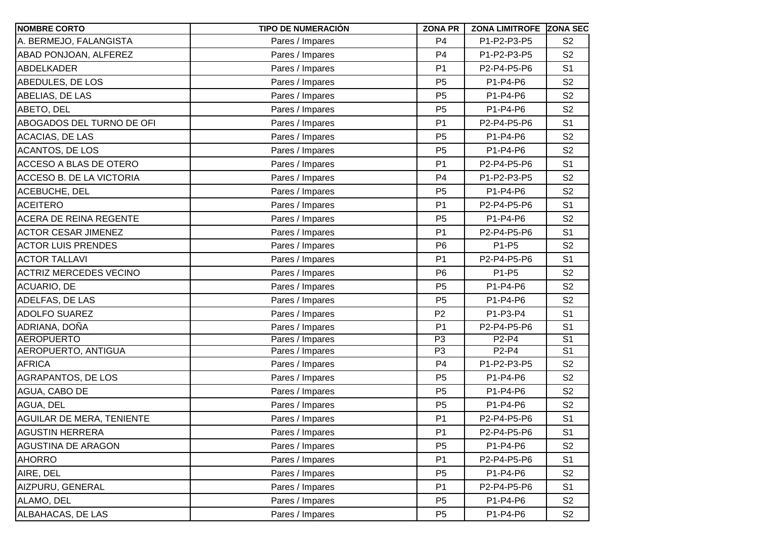| <b>NOMBRE CORTO</b>              | <b>TIPO DE NUMERACIÓN</b> | <b>ZONA PR</b> | <b>ZONA LIMITROFE ZONA SEC</b> |                |
|----------------------------------|---------------------------|----------------|--------------------------------|----------------|
| A. BERMEJO, FALANGISTA           | Pares / Impares           | P <sub>4</sub> | P1-P2-P3-P5                    | S <sub>2</sub> |
| ABAD PONJOAN, ALFEREZ            | Pares / Impares           | P <sub>4</sub> | P1-P2-P3-P5                    | S <sub>2</sub> |
| <b>ABDELKADER</b>                | Pares / Impares           | P <sub>1</sub> | P2-P4-P5-P6                    | S <sub>1</sub> |
| ABEDULES, DE LOS                 | Pares / Impares           | P <sub>5</sub> | P1-P4-P6                       | S <sub>2</sub> |
| ABELIAS, DE LAS                  | Pares / Impares           | P <sub>5</sub> | P1-P4-P6                       | S <sub>2</sub> |
| ABETO, DEL                       | Pares / Impares           | P <sub>5</sub> | P1-P4-P6                       | S <sub>2</sub> |
| ABOGADOS DEL TURNO DE OFI        | Pares / Impares           | P <sub>1</sub> | P2-P4-P5-P6                    | S <sub>1</sub> |
| <b>ACACIAS, DE LAS</b>           | Pares / Impares           | P <sub>5</sub> | P1-P4-P6                       | S <sub>2</sub> |
| <b>ACANTOS, DE LOS</b>           | Pares / Impares           | P <sub>5</sub> | P1-P4-P6                       | S <sub>2</sub> |
| <b>ACCESO A BLAS DE OTERO</b>    | Pares / Impares           | P <sub>1</sub> | P2-P4-P5-P6                    | S <sub>1</sub> |
| ACCESO B. DE LA VICTORIA         | Pares / Impares           | P <sub>4</sub> | P1-P2-P3-P5                    | S <sub>2</sub> |
| ACEBUCHE, DEL                    | Pares / Impares           | P <sub>5</sub> | P1-P4-P6                       | S <sub>2</sub> |
| <b>ACEITERO</b>                  | Pares / Impares           | P <sub>1</sub> | P2-P4-P5-P6                    | S <sub>1</sub> |
| <b>ACERA DE REINA REGENTE</b>    | Pares / Impares           | P <sub>5</sub> | P1-P4-P6                       | S <sub>2</sub> |
| <b>ACTOR CESAR JIMENEZ</b>       | Pares / Impares           | P <sub>1</sub> | P2-P4-P5-P6                    | S <sub>1</sub> |
| <b>ACTOR LUIS PRENDES</b>        | Pares / Impares           | P <sub>6</sub> | P1-P5                          | S <sub>2</sub> |
| <b>ACTOR TALLAVI</b>             | Pares / Impares           | P <sub>1</sub> | P2-P4-P5-P6                    | S <sub>1</sub> |
| <b>ACTRIZ MERCEDES VECINO</b>    | Pares / Impares           | P <sub>6</sub> | P1-P5                          | S <sub>2</sub> |
| ACUARIO, DE                      | Pares / Impares           | P <sub>5</sub> | P1-P4-P6                       | S <sub>2</sub> |
| ADELFAS, DE LAS                  | Pares / Impares           | P <sub>5</sub> | P1-P4-P6                       | S <sub>2</sub> |
| <b>ADOLFO SUAREZ</b>             | Pares / Impares           | P <sub>2</sub> | P1-P3-P4                       | S <sub>1</sub> |
| ADRIANA, DOÑA                    | Pares / Impares           | P <sub>1</sub> | P2-P4-P5-P6                    | S <sub>1</sub> |
| <b>AEROPUERTO</b>                | Pares / Impares           | P <sub>3</sub> | P2-P4                          | S <sub>1</sub> |
| AEROPUERTO, ANTIGUA              | Pares / Impares           | P <sub>3</sub> | P2-P4                          | S <sub>1</sub> |
| <b>AFRICA</b>                    | Pares / Impares           | P <sub>4</sub> | P1-P2-P3-P5                    | S <sub>2</sub> |
| AGRAPANTOS, DE LOS               | Pares / Impares           | P <sub>5</sub> | P1-P4-P6                       | S <sub>2</sub> |
| AGUA, CABO DE                    | Pares / Impares           | P <sub>5</sub> | P1-P4-P6                       | S <sub>2</sub> |
| AGUA, DEL                        | Pares / Impares           | P <sub>5</sub> | P1-P4-P6                       | S <sub>2</sub> |
| <b>AGUILAR DE MERA, TENIENTE</b> | Pares / Impares           | P <sub>1</sub> | P2-P4-P5-P6                    | S <sub>1</sub> |
| <b>AGUSTIN HERRERA</b>           | Pares / Impares           | P <sub>1</sub> | P2-P4-P5-P6                    | S <sub>1</sub> |
| <b>AGUSTINA DE ARAGON</b>        | Pares / Impares           | P <sub>5</sub> | P1-P4-P6                       | S <sub>2</sub> |
| <b>AHORRO</b>                    | Pares / Impares           | P <sub>1</sub> | P2-P4-P5-P6                    | S <sub>1</sub> |
| AIRE, DEL                        | Pares / Impares           | P <sub>5</sub> | P1-P4-P6                       | S <sub>2</sub> |
| AIZPURU, GENERAL                 | Pares / Impares           | P <sub>1</sub> | P2-P4-P5-P6                    | S <sub>1</sub> |
| ALAMO, DEL                       | Pares / Impares           | P <sub>5</sub> | P1-P4-P6                       | S <sub>2</sub> |
| ALBAHACAS, DE LAS                | Pares / Impares           | P <sub>5</sub> | P1-P4-P6                       | S <sub>2</sub> |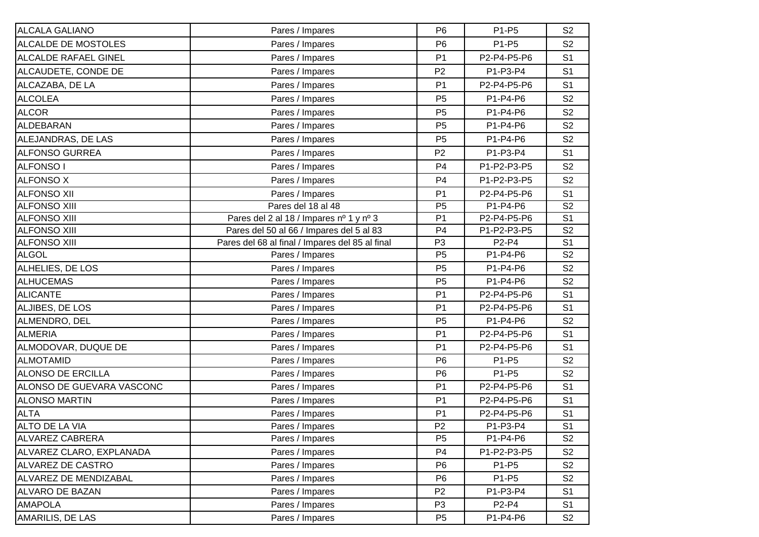| <b>ALCALA GALIANO</b>       | Pares / Impares                                 | P <sub>6</sub> | P1-P5       | S <sub>2</sub> |
|-----------------------------|-------------------------------------------------|----------------|-------------|----------------|
| ALCALDE DE MOSTOLES         | Pares / Impares                                 | P <sub>6</sub> | P1-P5       | S <sub>2</sub> |
| <b>ALCALDE RAFAEL GINEL</b> | Pares / Impares                                 | P <sub>1</sub> | P2-P4-P5-P6 | S <sub>1</sub> |
| ALCAUDETE, CONDE DE         | Pares / Impares                                 | P <sub>2</sub> | P1-P3-P4    | S <sub>1</sub> |
| ALCAZABA, DE LA             | Pares / Impares                                 | P <sub>1</sub> | P2-P4-P5-P6 | S <sub>1</sub> |
| <b>ALCOLEA</b>              | Pares / Impares                                 | P <sub>5</sub> | P1-P4-P6    | S <sub>2</sub> |
| <b>ALCOR</b>                | Pares / Impares                                 | P <sub>5</sub> | P1-P4-P6    | S <sub>2</sub> |
| ALDEBARAN                   | Pares / Impares                                 | P <sub>5</sub> | P1-P4-P6    | S <sub>2</sub> |
| ALEJANDRAS, DE LAS          | Pares / Impares                                 | P <sub>5</sub> | P1-P4-P6    | S <sub>2</sub> |
| <b>ALFONSO GURREA</b>       | Pares / Impares                                 | P <sub>2</sub> | P1-P3-P4    | S <sub>1</sub> |
| <b>ALFONSO I</b>            | Pares / Impares                                 | P <sub>4</sub> | P1-P2-P3-P5 | S <sub>2</sub> |
| <b>ALFONSO X</b>            | Pares / Impares                                 | P <sub>4</sub> | P1-P2-P3-P5 | S <sub>2</sub> |
| <b>ALFONSO XII</b>          | Pares / Impares                                 | P <sub>1</sub> | P2-P4-P5-P6 | S <sub>1</sub> |
| <b>ALFONSO XIII</b>         | Pares del 18 al 48                              | P <sub>5</sub> | P1-P4-P6    | S <sub>2</sub> |
| <b>ALFONSO XIII</b>         | Pares del 2 al 18 / Impares nº 1 y nº 3         | P <sub>1</sub> | P2-P4-P5-P6 | S <sub>1</sub> |
| <b>ALFONSO XIII</b>         | Pares del 50 al 66 / Impares del 5 al 83        | P <sub>4</sub> | P1-P2-P3-P5 | S <sub>2</sub> |
| <b>ALFONSO XIII</b>         | Pares del 68 al final / Impares del 85 al final | P <sub>3</sub> | P2-P4       | S <sub>1</sub> |
| <b>ALGOL</b>                | Pares / Impares                                 | P <sub>5</sub> | P1-P4-P6    | S <sub>2</sub> |
| ALHELIES, DE LOS            | Pares / Impares                                 | P <sub>5</sub> | P1-P4-P6    | S <sub>2</sub> |
| <b>ALHUCEMAS</b>            | Pares / Impares                                 | P <sub>5</sub> | P1-P4-P6    | S <sub>2</sub> |
| <b>ALICANTE</b>             | Pares / Impares                                 | P <sub>1</sub> | P2-P4-P5-P6 | S <sub>1</sub> |
| ALJIBES, DE LOS             | Pares / Impares                                 | P <sub>1</sub> | P2-P4-P5-P6 | S <sub>1</sub> |
| ALMENDRO, DEL               | Pares / Impares                                 | P <sub>5</sub> | P1-P4-P6    | S <sub>2</sub> |
| <b>ALMERIA</b>              | Pares / Impares                                 | P <sub>1</sub> | P2-P4-P5-P6 | S <sub>1</sub> |
| ALMODOVAR, DUQUE DE         | Pares / Impares                                 | P <sub>1</sub> | P2-P4-P5-P6 | S <sub>1</sub> |
| <b>ALMOTAMID</b>            | Pares / Impares                                 | P <sub>6</sub> | P1-P5       | S <sub>2</sub> |
| <b>ALONSO DE ERCILLA</b>    | Pares / Impares                                 | P <sub>6</sub> | P1-P5       | S <sub>2</sub> |
| ALONSO DE GUEVARA VASCONC   | Pares / Impares                                 | P <sub>1</sub> | P2-P4-P5-P6 | S <sub>1</sub> |
| <b>ALONSO MARTIN</b>        | Pares / Impares                                 | P <sub>1</sub> | P2-P4-P5-P6 | S <sub>1</sub> |
| <b>ALTA</b>                 | Pares / Impares                                 | P <sub>1</sub> | P2-P4-P5-P6 | S <sub>1</sub> |
| ALTO DE LA VIA              | Pares / Impares                                 | P <sub>2</sub> | P1-P3-P4    | S <sub>1</sub> |
| ALVAREZ CABRERA             | Pares / Impares                                 | P <sub>5</sub> | P1-P4-P6    | S <sub>2</sub> |
| ALVAREZ CLARO, EXPLANADA    | Pares / Impares                                 | P <sub>4</sub> | P1-P2-P3-P5 | S <sub>2</sub> |
| ALVAREZ DE CASTRO           | Pares / Impares                                 | P <sub>6</sub> | P1-P5       | S <sub>2</sub> |
| ALVAREZ DE MENDIZABAL       | Pares / Impares                                 | P <sub>6</sub> | P1-P5       | S <sub>2</sub> |
| <b>ALVARO DE BAZAN</b>      | Pares / Impares                                 | P <sub>2</sub> | P1-P3-P4    | S <sub>1</sub> |
| <b>AMAPOLA</b>              | Pares / Impares                                 | P <sub>3</sub> | P2-P4       | S <sub>1</sub> |
| AMARILIS, DE LAS            | Pares / Impares                                 | P <sub>5</sub> | P1-P4-P6    | S <sub>2</sub> |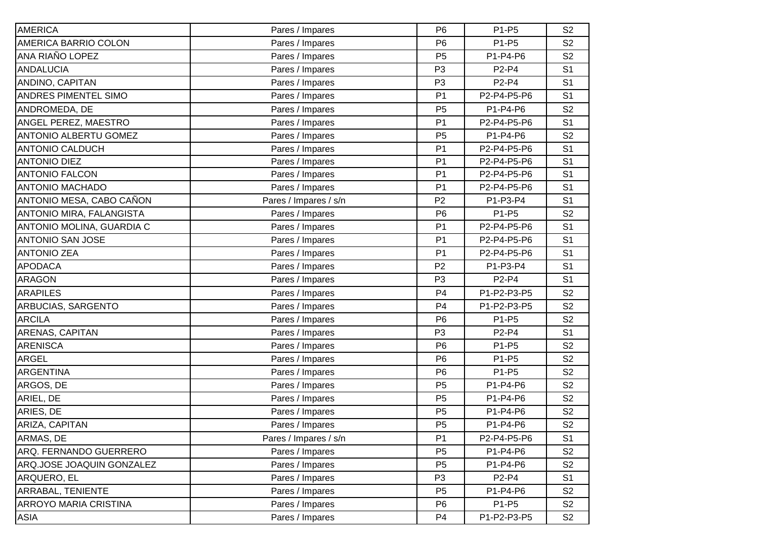| <b>AMERICA</b>               | Pares / Impares       | P <sub>6</sub> | P1-P5        | S <sub>2</sub> |
|------------------------------|-----------------------|----------------|--------------|----------------|
| AMERICA BARRIO COLON         | Pares / Impares       | P <sub>6</sub> | P1-P5        | S <sub>2</sub> |
| ANA RIAÑO LOPEZ              | Pares / Impares       | P <sub>5</sub> | P1-P4-P6     | S <sub>2</sub> |
| <b>ANDALUCIA</b>             | Pares / Impares       | P <sub>3</sub> | P2-P4        | S <sub>1</sub> |
| ANDINO, CAPITAN              | Pares / Impares       | P <sub>3</sub> | <b>P2-P4</b> | S <sub>1</sub> |
| <b>ANDRES PIMENTEL SIMO</b>  | Pares / Impares       | P <sub>1</sub> | P2-P4-P5-P6  | S <sub>1</sub> |
| ANDROMEDA, DE                | Pares / Impares       | P <sub>5</sub> | P1-P4-P6     | S <sub>2</sub> |
| ANGEL PEREZ, MAESTRO         | Pares / Impares       | P <sub>1</sub> | P2-P4-P5-P6  | S <sub>1</sub> |
| <b>ANTONIO ALBERTU GOMEZ</b> | Pares / Impares       | P <sub>5</sub> | P1-P4-P6     | S <sub>2</sub> |
| <b>ANTONIO CALDUCH</b>       | Pares / Impares       | P <sub>1</sub> | P2-P4-P5-P6  | S <sub>1</sub> |
| <b>ANTONIO DIEZ</b>          | Pares / Impares       | P <sub>1</sub> | P2-P4-P5-P6  | S <sub>1</sub> |
| <b>ANTONIO FALCON</b>        | Pares / Impares       | P <sub>1</sub> | P2-P4-P5-P6  | S <sub>1</sub> |
| <b>ANTONIO MACHADO</b>       | Pares / Impares       | P <sub>1</sub> | P2-P4-P5-P6  | S <sub>1</sub> |
| ANTONIO MESA, CABO CAÑON     | Pares / Impares / s/n | P <sub>2</sub> | P1-P3-P4     | S <sub>1</sub> |
| ANTONIO MIRA, FALANGISTA     | Pares / Impares       | P <sub>6</sub> | P1-P5        | S <sub>2</sub> |
| ANTONIO MOLINA, GUARDIA C    | Pares / Impares       | P <sub>1</sub> | P2-P4-P5-P6  | S <sub>1</sub> |
| <b>ANTONIO SAN JOSE</b>      | Pares / Impares       | P <sub>1</sub> | P2-P4-P5-P6  | S <sub>1</sub> |
| <b>ANTONIO ZEA</b>           | Pares / Impares       | P <sub>1</sub> | P2-P4-P5-P6  | S <sub>1</sub> |
| <b>APODACA</b>               | Pares / Impares       | P <sub>2</sub> | P1-P3-P4     | S <sub>1</sub> |
| <b>ARAGON</b>                | Pares / Impares       | P <sub>3</sub> | P2-P4        | S <sub>1</sub> |
| <b>ARAPILES</b>              | Pares / Impares       | P <sub>4</sub> | P1-P2-P3-P5  | S <sub>2</sub> |
| ARBUCIAS, SARGENTO           | Pares / Impares       | P <sub>4</sub> | P1-P2-P3-P5  | S <sub>2</sub> |
| <b>ARCILA</b>                | Pares / Impares       | P <sub>6</sub> | P1-P5        | S <sub>2</sub> |
| ARENAS, CAPITAN              | Pares / Impares       | P <sub>3</sub> | P2-P4        | S <sub>1</sub> |
| <b>ARENISCA</b>              | Pares / Impares       | P <sub>6</sub> | P1-P5        | S <sub>2</sub> |
| <b>ARGEL</b>                 | Pares / Impares       | P <sub>6</sub> | P1-P5        | S <sub>2</sub> |
| <b>ARGENTINA</b>             | Pares / Impares       | P <sub>6</sub> | P1-P5        | S <sub>2</sub> |
| ARGOS, DE                    | Pares / Impares       | P <sub>5</sub> | P1-P4-P6     | S <sub>2</sub> |
| ARIEL, DE                    | Pares / Impares       | P <sub>5</sub> | P1-P4-P6     | S <sub>2</sub> |
| ARIES, DE                    | Pares / Impares       | P <sub>5</sub> | P1-P4-P6     | S <sub>2</sub> |
| ARIZA, CAPITAN               | Pares / Impares       | P <sub>5</sub> | P1-P4-P6     | S <sub>2</sub> |
| ARMAS, DE                    | Pares / Impares / s/n | P <sub>1</sub> | P2-P4-P5-P6  | S <sub>1</sub> |
| ARQ. FERNANDO GUERRERO       | Pares / Impares       | P <sub>5</sub> | P1-P4-P6     | S <sub>2</sub> |
| ARQ.JOSE JOAQUIN GONZALEZ    | Pares / Impares       | P <sub>5</sub> | P1-P4-P6     | S <sub>2</sub> |
| ARQUERO, EL                  | Pares / Impares       | P <sub>3</sub> | P2-P4        | S <sub>1</sub> |
| ARRABAL, TENIENTE            | Pares / Impares       | P <sub>5</sub> | P1-P4-P6     | S <sub>2</sub> |
| <b>ARROYO MARIA CRISTINA</b> | Pares / Impares       | P <sub>6</sub> | P1-P5        | S <sub>2</sub> |
| <b>ASIA</b>                  | Pares / Impares       | P <sub>4</sub> | P1-P2-P3-P5  | S <sub>2</sub> |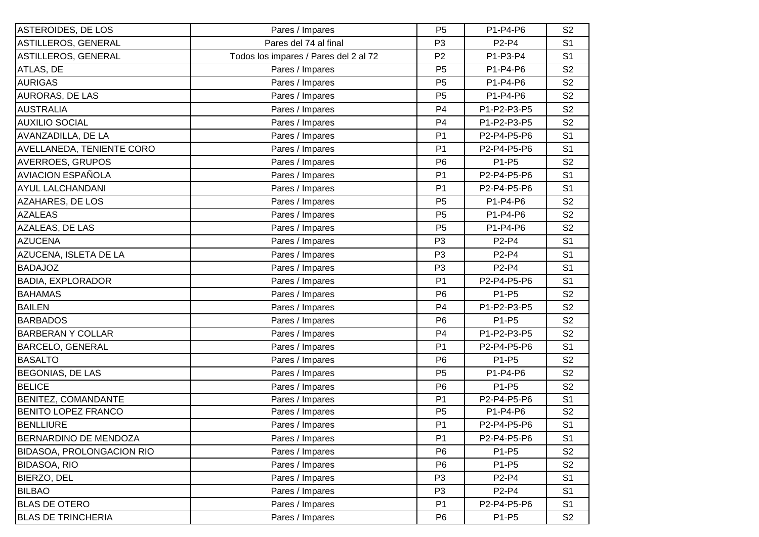| ASTEROIDES, DE LOS               | Pares / Impares                       | P <sub>5</sub> | P1-P4-P6                       | S <sub>2</sub> |
|----------------------------------|---------------------------------------|----------------|--------------------------------|----------------|
| ASTILLEROS, GENERAL              | Pares del 74 al final                 | P <sub>3</sub> | P2-P4                          | S <sub>1</sub> |
| ASTILLEROS, GENERAL              | Todos los impares / Pares del 2 al 72 | P <sub>2</sub> | P1-P3-P4                       | S <sub>1</sub> |
| ATLAS, DE                        | Pares / Impares                       | P <sub>5</sub> | P1-P4-P6                       | S <sub>2</sub> |
| <b>AURIGAS</b>                   | Pares / Impares                       | P <sub>5</sub> | P1-P4-P6                       | S <sub>2</sub> |
| <b>AURORAS, DE LAS</b>           | Pares / Impares                       | P <sub>5</sub> | P1-P4-P6                       | S <sub>2</sub> |
| <b>AUSTRALIA</b>                 | Pares / Impares                       | P <sub>4</sub> | P1-P2-P3-P5                    | S <sub>2</sub> |
| <b>AUXILIO SOCIAL</b>            | Pares / Impares                       | P <sub>4</sub> | P1-P2-P3-P5                    | S <sub>2</sub> |
| AVANZADILLA, DE LA               | Pares / Impares                       | P <sub>1</sub> | P2-P4-P5-P6                    | S <sub>1</sub> |
| <b>AVELLANEDA, TENIENTE CORO</b> | Pares / Impares                       | P <sub>1</sub> | P2-P4-P5-P6                    | S <sub>1</sub> |
| <b>AVERROES, GRUPOS</b>          | Pares / Impares                       | P <sub>6</sub> | P1-P5                          | S <sub>2</sub> |
| <b>AVIACION ESPAÑOLA</b>         | Pares / Impares                       | P <sub>1</sub> | P2-P4-P5-P6                    | S <sub>1</sub> |
| <b>AYUL LALCHANDANI</b>          | Pares / Impares                       | P <sub>1</sub> | P2-P4-P5-P6                    | S <sub>1</sub> |
| AZAHARES, DE LOS                 | Pares / Impares                       | P <sub>5</sub> | P1-P4-P6                       | S <sub>2</sub> |
| <b>AZALEAS</b>                   | Pares / Impares                       | P <sub>5</sub> | P1-P4-P6                       | S <sub>2</sub> |
| AZALEAS, DE LAS                  | Pares / Impares                       | P <sub>5</sub> | P1-P4-P6                       | S <sub>2</sub> |
| <b>AZUCENA</b>                   | Pares / Impares                       | P <sub>3</sub> | P2-P4                          | S <sub>1</sub> |
| AZUCENA, ISLETA DE LA            | Pares / Impares                       | P <sub>3</sub> | P2-P4                          | S <sub>1</sub> |
| <b>BADAJOZ</b>                   | Pares / Impares                       | P <sub>3</sub> | P <sub>2</sub> -P <sub>4</sub> | S <sub>1</sub> |
| <b>BADIA, EXPLORADOR</b>         | Pares / Impares                       | P <sub>1</sub> | P2-P4-P5-P6                    | S <sub>1</sub> |
| <b>BAHAMAS</b>                   | Pares / Impares                       | P <sub>6</sub> | P1-P5                          | S <sub>2</sub> |
| <b>BAILEN</b>                    | Pares / Impares                       | P <sub>4</sub> | P1-P2-P3-P5                    | S <sub>2</sub> |
| <b>BARBADOS</b>                  | Pares / Impares                       | P <sub>6</sub> | P1-P5                          | S <sub>2</sub> |
| <b>BARBERAN Y COLLAR</b>         | Pares / Impares                       | P <sub>4</sub> | P1-P2-P3-P5                    | S <sub>2</sub> |
| <b>BARCELO, GENERAL</b>          | Pares / Impares                       | P <sub>1</sub> | P2-P4-P5-P6                    | S <sub>1</sub> |
| <b>BASALTO</b>                   | Pares / Impares                       | P <sub>6</sub> | P1-P5                          | S <sub>2</sub> |
| <b>BEGONIAS, DE LAS</b>          | Pares / Impares                       | P <sub>5</sub> | P1-P4-P6                       | S <sub>2</sub> |
| <b>BELICE</b>                    | Pares / Impares                       | P <sub>6</sub> | P1-P5                          | S <sub>2</sub> |
| <b>BENITEZ, COMANDANTE</b>       | Pares / Impares                       | P <sub>1</sub> | P2-P4-P5-P6                    | S <sub>1</sub> |
| <b>BENITO LOPEZ FRANCO</b>       | Pares / Impares                       | P <sub>5</sub> | P1-P4-P6                       | S <sub>2</sub> |
| <b>BENLLIURE</b>                 | Pares / Impares                       | P <sub>1</sub> | P2-P4-P5-P6                    | S <sub>1</sub> |
| <b>BERNARDINO DE MENDOZA</b>     | Pares / Impares                       | P <sub>1</sub> | P2-P4-P5-P6                    | S <sub>1</sub> |
| <b>BIDASOA, PROLONGACION RIO</b> | Pares / Impares                       | P <sub>6</sub> | P1-P5                          | S <sub>2</sub> |
| <b>BIDASOA, RIO</b>              | Pares / Impares                       | P <sub>6</sub> | P1-P5                          | S <sub>2</sub> |
| <b>BIERZO, DEL</b>               | Pares / Impares                       | P <sub>3</sub> | P2-P4                          | S <sub>1</sub> |
| <b>BILBAO</b>                    | Pares / Impares                       | P <sub>3</sub> | P2-P4                          | S <sub>1</sub> |
| <b>BLAS DE OTERO</b>             | Pares / Impares                       | P <sub>1</sub> | P2-P4-P5-P6                    | S <sub>1</sub> |
| <b>BLAS DE TRINCHERIA</b>        | Pares / Impares                       | P <sub>6</sub> | P1-P5                          | S <sub>2</sub> |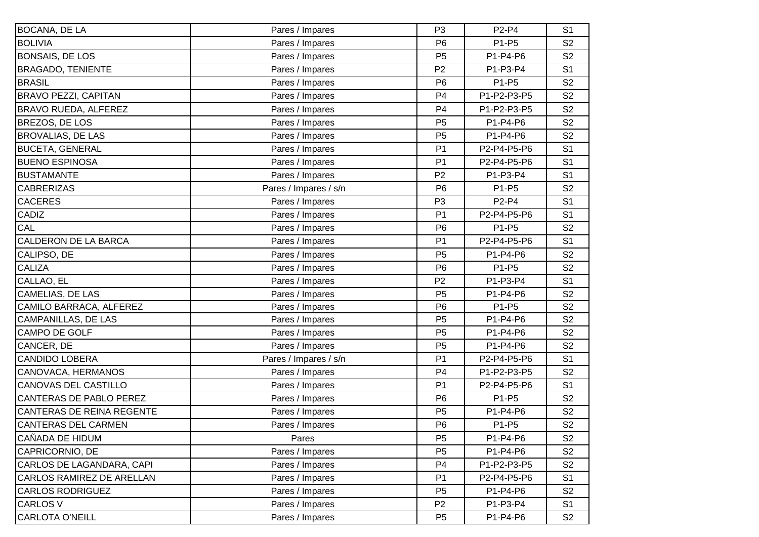| <b>BOCANA, DE LA</b>        | Pares / Impares       | P <sub>3</sub> | P2-P4       | S <sub>1</sub> |
|-----------------------------|-----------------------|----------------|-------------|----------------|
| <b>BOLIVIA</b>              | Pares / Impares       | P <sub>6</sub> | P1-P5       | S <sub>2</sub> |
| <b>BONSAIS, DE LOS</b>      | Pares / Impares       | P <sub>5</sub> | P1-P4-P6    | S <sub>2</sub> |
| <b>BRAGADO, TENIENTE</b>    | Pares / Impares       | P <sub>2</sub> | P1-P3-P4    | S <sub>1</sub> |
| <b>BRASIL</b>               | Pares / Impares       | P <sub>6</sub> | P1-P5       | S <sub>2</sub> |
| <b>BRAVO PEZZI, CAPITAN</b> | Pares / Impares       | P <sub>4</sub> | P1-P2-P3-P5 | S <sub>2</sub> |
| <b>BRAVO RUEDA, ALFEREZ</b> | Pares / Impares       | P <sub>4</sub> | P1-P2-P3-P5 | S <sub>2</sub> |
| BREZOS, DE LOS              | Pares / Impares       | P <sub>5</sub> | P1-P4-P6    | S <sub>2</sub> |
| <b>BROVALIAS, DE LAS</b>    | Pares / Impares       | P <sub>5</sub> | P1-P4-P6    | S <sub>2</sub> |
| <b>BUCETA, GENERAL</b>      | Pares / Impares       | P <sub>1</sub> | P2-P4-P5-P6 | S <sub>1</sub> |
| <b>BUENO ESPINOSA</b>       | Pares / Impares       | P <sub>1</sub> | P2-P4-P5-P6 | S <sub>1</sub> |
| <b>BUSTAMANTE</b>           | Pares / Impares       | P <sub>2</sub> | P1-P3-P4    | S <sub>1</sub> |
| <b>CABRERIZAS</b>           | Pares / Impares / s/n | P <sub>6</sub> | P1-P5       | S <sub>2</sub> |
| <b>CACERES</b>              | Pares / Impares       | P <sub>3</sub> | P2-P4       | S <sub>1</sub> |
| <b>CADIZ</b>                | Pares / Impares       | P <sub>1</sub> | P2-P4-P5-P6 | S <sub>1</sub> |
| CAL                         | Pares / Impares       | P <sub>6</sub> | P1-P5       | S <sub>2</sub> |
| CALDERON DE LA BARCA        | Pares / Impares       | P <sub>1</sub> | P2-P4-P5-P6 | S <sub>1</sub> |
| CALIPSO, DE                 | Pares / Impares       | P <sub>5</sub> | P1-P4-P6    | S <sub>2</sub> |
| <b>CALIZA</b>               | Pares / Impares       | P <sub>6</sub> | P1-P5       | S <sub>2</sub> |
| CALLAO, EL                  | Pares / Impares       | P <sub>2</sub> | P1-P3-P4    | S <sub>1</sub> |
| CAMELIAS, DE LAS            | Pares / Impares       | P <sub>5</sub> | P1-P4-P6    | S <sub>2</sub> |
| CAMILO BARRACA, ALFEREZ     | Pares / Impares       | P <sub>6</sub> | P1-P5       | S <sub>2</sub> |
| <b>CAMPANILLAS, DE LAS</b>  | Pares / Impares       | P <sub>5</sub> | P1-P4-P6    | S <sub>2</sub> |
| CAMPO DE GOLF               | Pares / Impares       | P <sub>5</sub> | P1-P4-P6    | S <sub>2</sub> |
| CANCER, DE                  | Pares / Impares       | P <sub>5</sub> | P1-P4-P6    | S <sub>2</sub> |
| <b>CANDIDO LOBERA</b>       | Pares / Impares / s/n | P <sub>1</sub> | P2-P4-P5-P6 | S <sub>1</sub> |
| CANOVACA, HERMANOS          | Pares / Impares       | P <sub>4</sub> | P1-P2-P3-P5 | S <sub>2</sub> |
| <b>CANOVAS DEL CASTILLO</b> | Pares / Impares       | P <sub>1</sub> | P2-P4-P5-P6 | S <sub>1</sub> |
| CANTERAS DE PABLO PEREZ     | Pares / Impares       | P <sub>6</sub> | P1-P5       | S <sub>2</sub> |
| CANTERAS DE REINA REGENTE   | Pares / Impares       | P <sub>5</sub> | P1-P4-P6    | S <sub>2</sub> |
| CANTERAS DEL CARMEN         | Pares / Impares       | P <sub>6</sub> | P1-P5       | S <sub>2</sub> |
| CAÑADA DE HIDUM             | Pares                 | P <sub>5</sub> | P1-P4-P6    | S <sub>2</sub> |
| CAPRICORNIO, DE             | Pares / Impares       | P <sub>5</sub> | P1-P4-P6    | S <sub>2</sub> |
| CARLOS DE LAGANDARA, CAPI   | Pares / Impares       | P <sub>4</sub> | P1-P2-P3-P5 | S <sub>2</sub> |
| CARLOS RAMIREZ DE ARELLAN   | Pares / Impares       | P <sub>1</sub> | P2-P4-P5-P6 | S <sub>1</sub> |
| <b>CARLOS RODRIGUEZ</b>     | Pares / Impares       | P <sub>5</sub> | P1-P4-P6    | S <sub>2</sub> |
| <b>CARLOS V</b>             | Pares / Impares       | P <sub>2</sub> | P1-P3-P4    | S <sub>1</sub> |
| <b>CARLOTA O'NEILL</b>      | Pares / Impares       | P <sub>5</sub> | P1-P4-P6    | S <sub>2</sub> |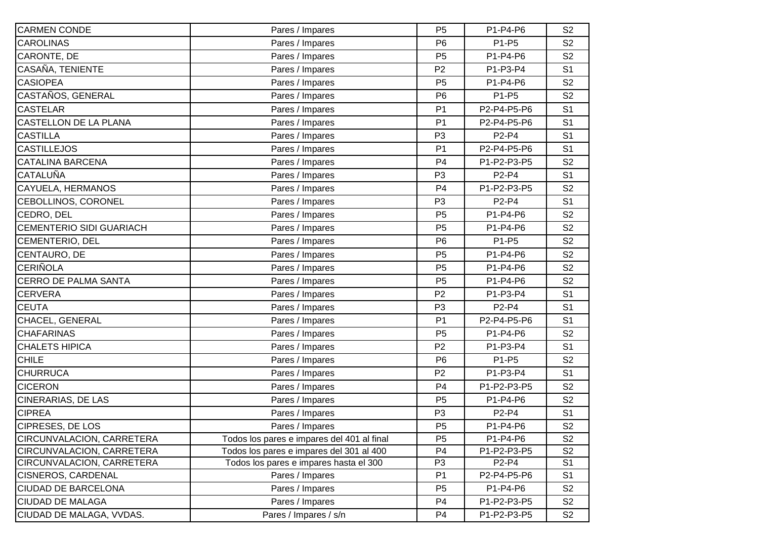| <b>CARMEN CONDE</b>              | Pares / Impares                            | P <sub>5</sub> | P1-P4-P6    | S <sub>2</sub> |
|----------------------------------|--------------------------------------------|----------------|-------------|----------------|
| <b>CAROLINAS</b>                 | Pares / Impares                            | P <sub>6</sub> | P1-P5       | S <sub>2</sub> |
| CARONTE, DE                      | Pares / Impares                            | P <sub>5</sub> | P1-P4-P6    | S <sub>2</sub> |
| CASAÑA, TENIENTE                 | Pares / Impares                            | P <sub>2</sub> | P1-P3-P4    | S <sub>1</sub> |
| <b>CASIOPEA</b>                  | Pares / Impares                            | P <sub>5</sub> | P1-P4-P6    | S <sub>2</sub> |
| CASTAÑOS, GENERAL                | Pares / Impares                            | P <sub>6</sub> | P1-P5       | S <sub>2</sub> |
| <b>CASTELAR</b>                  | Pares / Impares                            | P <sub>1</sub> | P2-P4-P5-P6 | S <sub>1</sub> |
| CASTELLON DE LA PLANA            | Pares / Impares                            | P <sub>1</sub> | P2-P4-P5-P6 | S <sub>1</sub> |
| <b>CASTILLA</b>                  | Pares / Impares                            | P <sub>3</sub> | P2-P4       | S <sub>1</sub> |
| <b>CASTILLEJOS</b>               | Pares / Impares                            | P <sub>1</sub> | P2-P4-P5-P6 | S <sub>1</sub> |
| <b>CATALINA BARCENA</b>          | Pares / Impares                            | P <sub>4</sub> | P1-P2-P3-P5 | S <sub>2</sub> |
| <b>CATALUÑA</b>                  | Pares / Impares                            | P <sub>3</sub> | P2-P4       | S <sub>1</sub> |
| CAYUELA, HERMANOS                | Pares / Impares                            | P <sub>4</sub> | P1-P2-P3-P5 | S <sub>2</sub> |
| CEBOLLINOS, CORONEL              | Pares / Impares                            | P <sub>3</sub> | P2-P4       | S <sub>1</sub> |
| CEDRO, DEL                       | Pares / Impares                            | P <sub>5</sub> | P1-P4-P6    | S <sub>2</sub> |
| <b>CEMENTERIO SIDI GUARIACH</b>  | Pares / Impares                            | P <sub>5</sub> | P1-P4-P6    | S <sub>2</sub> |
| CEMENTERIO, DEL                  | Pares / Impares                            | P <sub>6</sub> | P1-P5       | S <sub>2</sub> |
| CENTAURO, DE                     | Pares / Impares                            | P <sub>5</sub> | P1-P4-P6    | S <sub>2</sub> |
| <b>CERIÑOLA</b>                  | Pares / Impares                            | P <sub>5</sub> | P1-P4-P6    | S <sub>2</sub> |
| <b>CERRO DE PALMA SANTA</b>      | Pares / Impares                            | P <sub>5</sub> | P1-P4-P6    | S <sub>2</sub> |
| <b>CERVERA</b>                   | Pares / Impares                            | P <sub>2</sub> | P1-P3-P4    | S <sub>1</sub> |
| <b>CEUTA</b>                     | Pares / Impares                            | P <sub>3</sub> | P2-P4       | S <sub>1</sub> |
| CHACEL, GENERAL                  | Pares / Impares                            | P <sub>1</sub> | P2-P4-P5-P6 | S <sub>1</sub> |
| <b>CHAFARINAS</b>                | Pares / Impares                            | P <sub>5</sub> | P1-P4-P6    | S <sub>2</sub> |
| <b>CHALETS HIPICA</b>            | Pares / Impares                            | P <sub>2</sub> | P1-P3-P4    | S <sub>1</sub> |
| <b>CHILE</b>                     | Pares / Impares                            | P <sub>6</sub> | P1-P5       | S <sub>2</sub> |
| <b>CHURRUCA</b>                  | Pares / Impares                            | P <sub>2</sub> | P1-P3-P4    | S <sub>1</sub> |
| <b>CICERON</b>                   | Pares / Impares                            | P <sub>4</sub> | P1-P2-P3-P5 | S <sub>2</sub> |
| CINERARIAS, DE LAS               | Pares / Impares                            | P <sub>5</sub> | P1-P4-P6    | S <sub>2</sub> |
| <b>CIPREA</b>                    | Pares / Impares                            | P <sub>3</sub> | P2-P4       | S <sub>1</sub> |
| CIPRESES, DE LOS                 | Pares / Impares                            | P <sub>5</sub> | P1-P4-P6    | S <sub>2</sub> |
| <b>CIRCUNVALACION, CARRETERA</b> | Todos los pares e impares del 401 al final | P <sub>5</sub> | P1-P4-P6    | S <sub>2</sub> |
| CIRCUNVALACION, CARRETERA        | Todos los pares e impares del 301 al 400   | P <sub>4</sub> | P1-P2-P3-P5 | S <sub>2</sub> |
| CIRCUNVALACION, CARRETERA        | Todos los pares e impares hasta el 300     | P <sub>3</sub> | P2-P4       | S <sub>1</sub> |
| <b>CISNEROS, CARDENAL</b>        | Pares / Impares                            | P <sub>1</sub> | P2-P4-P5-P6 | S <sub>1</sub> |
| <b>CIUDAD DE BARCELONA</b>       | Pares / Impares                            | P <sub>5</sub> | P1-P4-P6    | S <sub>2</sub> |
| <b>CIUDAD DE MALAGA</b>          | Pares / Impares                            | P4             | P1-P2-P3-P5 | S <sub>2</sub> |
| CIUDAD DE MALAGA, VVDAS.         | Pares / Impares / s/n                      | P <sub>4</sub> | P1-P2-P3-P5 | S <sub>2</sub> |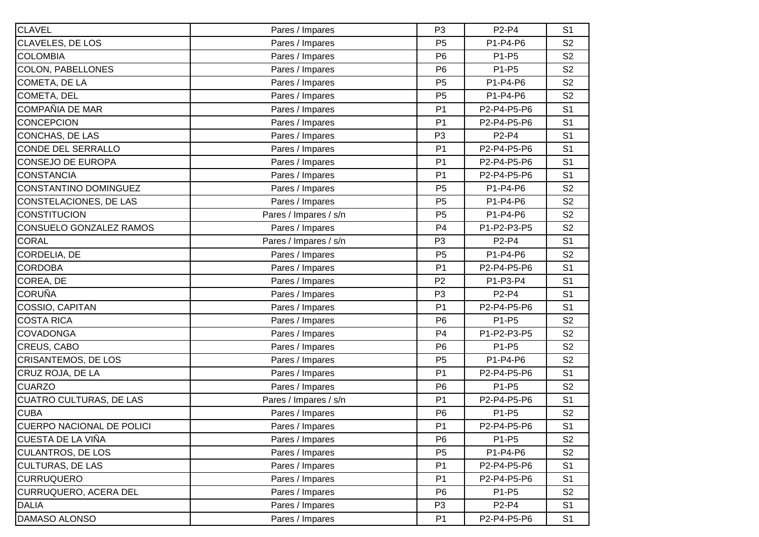| <b>CLAVEL</b>                | Pares / Impares       | P <sub>3</sub> | P2-P4       | S <sub>1</sub> |
|------------------------------|-----------------------|----------------|-------------|----------------|
| CLAVELES, DE LOS             | Pares / Impares       | P <sub>5</sub> | P1-P4-P6    | S <sub>2</sub> |
| <b>COLOMBIA</b>              | Pares / Impares       | P <sub>6</sub> | P1-P5       | S <sub>2</sub> |
| <b>COLON, PABELLONES</b>     | Pares / Impares       | P <sub>6</sub> | P1-P5       | S <sub>2</sub> |
| COMETA, DE LA                | Pares / Impares       | P <sub>5</sub> | P1-P4-P6    | S <sub>2</sub> |
| COMETA, DEL                  | Pares / Impares       | P <sub>5</sub> | P1-P4-P6    | S <sub>2</sub> |
| COMPAÑIA DE MAR              | Pares / Impares       | P <sub>1</sub> | P2-P4-P5-P6 | S <sub>1</sub> |
| <b>CONCEPCION</b>            | Pares / Impares       | P <sub>1</sub> | P2-P4-P5-P6 | S <sub>1</sub> |
| <b>CONCHAS, DE LAS</b>       | Pares / Impares       | P <sub>3</sub> | P2-P4       | S <sub>1</sub> |
| <b>CONDE DEL SERRALLO</b>    | Pares / Impares       | P <sub>1</sub> | P2-P4-P5-P6 | S <sub>1</sub> |
| CONSEJO DE EUROPA            | Pares / Impares       | P <sub>1</sub> | P2-P4-P5-P6 | S <sub>1</sub> |
| <b>CONSTANCIA</b>            | Pares / Impares       | P <sub>1</sub> | P2-P4-P5-P6 | S <sub>1</sub> |
| CONSTANTINO DOMINGUEZ        | Pares / Impares       | P <sub>5</sub> | P1-P4-P6    | S <sub>2</sub> |
| CONSTELACIONES, DE LAS       | Pares / Impares       | P <sub>5</sub> | P1-P4-P6    | S <sub>2</sub> |
| <b>CONSTITUCION</b>          | Pares / Impares / s/n | P <sub>5</sub> | P1-P4-P6    | S <sub>2</sub> |
| CONSUELO GONZALEZ RAMOS      | Pares / Impares       | P <sub>4</sub> | P1-P2-P3-P5 | S <sub>2</sub> |
| <b>CORAL</b>                 | Pares / Impares / s/n | P <sub>3</sub> | P2-P4       | S <sub>1</sub> |
| CORDELIA, DE                 | Pares / Impares       | P <sub>5</sub> | P1-P4-P6    | S <sub>2</sub> |
| <b>CORDOBA</b>               | Pares / Impares       | P <sub>1</sub> | P2-P4-P5-P6 | S <sub>1</sub> |
| COREA, DE                    | Pares / Impares       | P <sub>2</sub> | P1-P3-P4    | S <sub>1</sub> |
| <b>CORUÑA</b>                | Pares / Impares       | P <sub>3</sub> | P2-P4       | S <sub>1</sub> |
| COSSIO, CAPITAN              | Pares / Impares       | P <sub>1</sub> | P2-P4-P5-P6 | S <sub>1</sub> |
| <b>COSTA RICA</b>            | Pares / Impares       | P <sub>6</sub> | P1-P5       | S <sub>2</sub> |
| <b>COVADONGA</b>             | Pares / Impares       | P <sub>4</sub> | P1-P2-P3-P5 | S <sub>2</sub> |
| CREUS, CABO                  | Pares / Impares       | P <sub>6</sub> | P1-P5       | S <sub>2</sub> |
| <b>CRISANTEMOS, DE LOS</b>   | Pares / Impares       | P <sub>5</sub> | P1-P4-P6    | S <sub>2</sub> |
| CRUZ ROJA, DE LA             | Pares / Impares       | P <sub>1</sub> | P2-P4-P5-P6 | S <sub>1</sub> |
| <b>CUARZO</b>                | Pares / Impares       | P <sub>6</sub> | P1-P5       | S <sub>2</sub> |
| CUATRO CULTURAS, DE LAS      | Pares / Impares / s/n | P <sub>1</sub> | P2-P4-P5-P6 | S <sub>1</sub> |
| <b>CUBA</b>                  | Pares / Impares       | P <sub>6</sub> | P1-P5       | S <sub>2</sub> |
| CUERPO NACIONAL DE POLICI    | Pares / Impares       | P <sub>1</sub> | P2-P4-P5-P6 | S <sub>1</sub> |
| CUESTA DE LA VIÑA            | Pares / Impares       | P <sub>6</sub> | P1-P5       | S <sub>2</sub> |
| <b>CULANTROS, DE LOS</b>     | Pares / Impares       | P <sub>5</sub> | P1-P4-P6    | S <sub>2</sub> |
| <b>CULTURAS, DE LAS</b>      | Pares / Impares       | P <sub>1</sub> | P2-P4-P5-P6 | S <sub>1</sub> |
| <b>CURRUQUERO</b>            | Pares / Impares       | P <sub>1</sub> | P2-P4-P5-P6 | S <sub>1</sub> |
| <b>CURRUQUERO, ACERA DEL</b> | Pares / Impares       | P <sub>6</sub> | P1-P5       | S <sub>2</sub> |
| <b>DALIA</b>                 | Pares / Impares       | P <sub>3</sub> | P2-P4       | S <sub>1</sub> |
| DAMASO ALONSO                | Pares / Impares       | P <sub>1</sub> | P2-P4-P5-P6 | S <sub>1</sub> |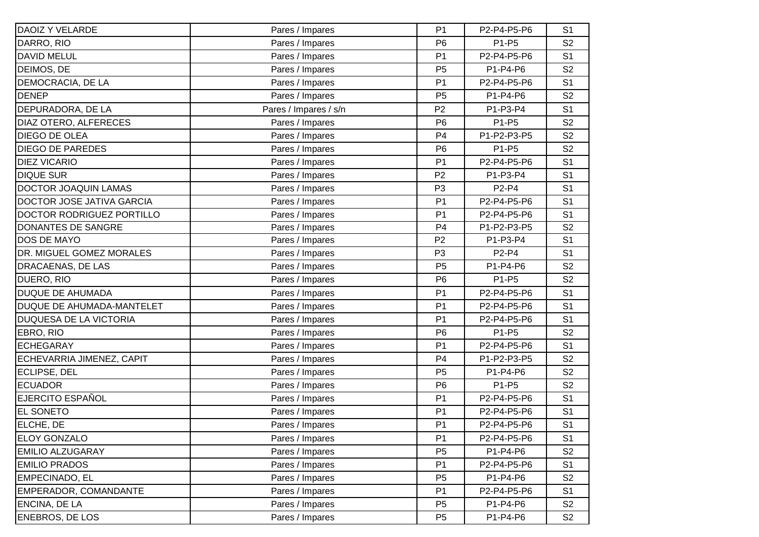| <b>DAOIZ Y VELARDE</b>        | Pares / Impares       | P <sub>1</sub> | P2-P4-P5-P6                    | S <sub>1</sub> |
|-------------------------------|-----------------------|----------------|--------------------------------|----------------|
| DARRO, RIO                    | Pares / Impares       | P <sub>6</sub> | P1-P5                          | S <sub>2</sub> |
| <b>DAVID MELUL</b>            | Pares / Impares       | P <sub>1</sub> | P2-P4-P5-P6                    | S <sub>1</sub> |
| DEIMOS, DE                    | Pares / Impares       | P <sub>5</sub> | P1-P4-P6                       | S <sub>2</sub> |
| DEMOCRACIA, DE LA             | Pares / Impares       | P <sub>1</sub> | P2-P4-P5-P6                    | S <sub>1</sub> |
| <b>DENEP</b>                  | Pares / Impares       | P <sub>5</sub> | P1-P4-P6                       | S <sub>2</sub> |
| DEPURADORA, DE LA             | Pares / Impares / s/n | P <sub>2</sub> | P1-P3-P4                       | S <sub>1</sub> |
| DIAZ OTERO, ALFERECES         | Pares / Impares       | P <sub>6</sub> | P1-P5                          | S <sub>2</sub> |
| <b>DIEGO DE OLEA</b>          | Pares / Impares       | P <sub>4</sub> | P1-P2-P3-P5                    | S <sub>2</sub> |
| <b>DIEGO DE PAREDES</b>       | Pares / Impares       | P <sub>6</sub> | P1-P5                          | S <sub>2</sub> |
| <b>DIEZ VICARIO</b>           | Pares / Impares       | P <sub>1</sub> | P2-P4-P5-P6                    | S <sub>1</sub> |
| <b>DIQUE SUR</b>              | Pares / Impares       | P <sub>2</sub> | P1-P3-P4                       | S <sub>1</sub> |
| <b>DOCTOR JOAQUIN LAMAS</b>   | Pares / Impares       | P <sub>3</sub> | P2-P4                          | S <sub>1</sub> |
| DOCTOR JOSE JATIVA GARCIA     | Pares / Impares       | P <sub>1</sub> | P2-P4-P5-P6                    | S <sub>1</sub> |
| DOCTOR RODRIGUEZ PORTILLO     | Pares / Impares       | P <sub>1</sub> | P2-P4-P5-P6                    | S <sub>1</sub> |
| DONANTES DE SANGRE            | Pares / Impares       | P <sub>4</sub> | P1-P2-P3-P5                    | S <sub>2</sub> |
| <b>DOS DE MAYO</b>            | Pares / Impares       | P <sub>2</sub> | P1-P3-P4                       | S <sub>1</sub> |
| DR. MIGUEL GOMEZ MORALES      | Pares / Impares       | P <sub>3</sub> | P <sub>2</sub> -P <sub>4</sub> | S <sub>1</sub> |
| <b>DRACAENAS, DE LAS</b>      | Pares / Impares       | P <sub>5</sub> | P1-P4-P6                       | S <sub>2</sub> |
| DUERO, RIO                    | Pares / Impares       | P <sub>6</sub> | P1-P5                          | S <sub>2</sub> |
| <b>DUQUE DE AHUMADA</b>       | Pares / Impares       | P <sub>1</sub> | P2-P4-P5-P6                    | S <sub>1</sub> |
| DUQUE DE AHUMADA-MANTELET     | Pares / Impares       | P <sub>1</sub> | P2-P4-P5-P6                    | S <sub>1</sub> |
| <b>DUQUESA DE LA VICTORIA</b> | Pares / Impares       | P <sub>1</sub> | P2-P4-P5-P6                    | S <sub>1</sub> |
| EBRO, RIO                     | Pares / Impares       | P <sub>6</sub> | P1-P5                          | S <sub>2</sub> |
| <b>ECHEGARAY</b>              | Pares / Impares       | P <sub>1</sub> | P2-P4-P5-P6                    | S <sub>1</sub> |
| ECHEVARRIA JIMENEZ, CAPIT     | Pares / Impares       | P <sub>4</sub> | P1-P2-P3-P5                    | S <sub>2</sub> |
| <b>ECLIPSE, DEL</b>           | Pares / Impares       | P <sub>5</sub> | P1-P4-P6                       | S <sub>2</sub> |
| <b>ECUADOR</b>                | Pares / Impares       | P <sub>6</sub> | P1-P5                          | S <sub>2</sub> |
| <b>EJERCITO ESPAÑOL</b>       | Pares / Impares       | P <sub>1</sub> | P2-P4-P5-P6                    | S <sub>1</sub> |
| <b>EL SONETO</b>              | Pares / Impares       | P <sub>1</sub> | P2-P4-P5-P6                    | S <sub>1</sub> |
| ELCHE, DE                     | Pares / Impares       | P <sub>1</sub> | P2-P4-P5-P6                    | S <sub>1</sub> |
| <b>ELOY GONZALO</b>           | Pares / Impares       | P <sub>1</sub> | P2-P4-P5-P6                    | S <sub>1</sub> |
| <b>EMILIO ALZUGARAY</b>       | Pares / Impares       | P <sub>5</sub> | P1-P4-P6                       | S <sub>2</sub> |
| <b>EMILIO PRADOS</b>          | Pares / Impares       | P <sub>1</sub> | P2-P4-P5-P6                    | S <sub>1</sub> |
| <b>EMPECINADO, EL</b>         | Pares / Impares       | P <sub>5</sub> | P1-P4-P6                       | S <sub>2</sub> |
| EMPERADOR, COMANDANTE         | Pares / Impares       | P <sub>1</sub> | P2-P4-P5-P6                    | S <sub>1</sub> |
| <b>ENCINA, DE LA</b>          | Pares / Impares       | P <sub>5</sub> | P1-P4-P6                       | S <sub>2</sub> |
| <b>ENEBROS, DE LOS</b>        | Pares / Impares       | P <sub>5</sub> | P1-P4-P6                       | S <sub>2</sub> |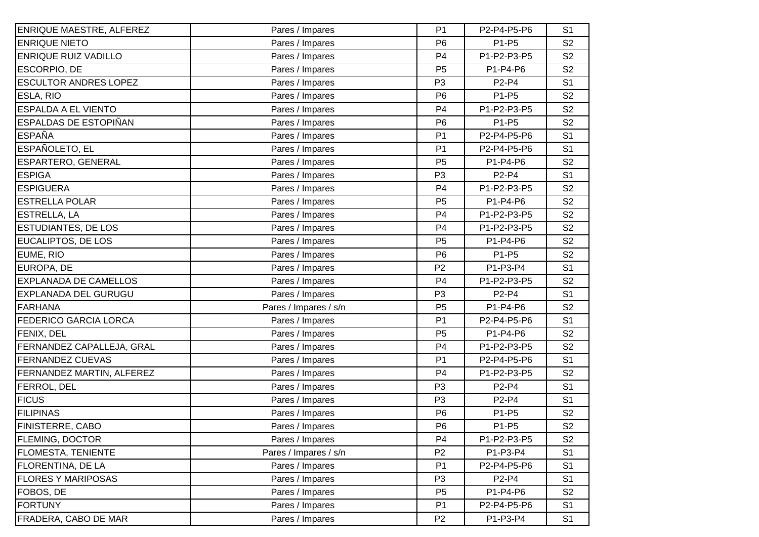| <b>ENRIQUE MAESTRE, ALFEREZ</b> | Pares / Impares       | P <sub>1</sub> | P2-P4-P5-P6 | S <sub>1</sub> |
|---------------------------------|-----------------------|----------------|-------------|----------------|
| <b>ENRIQUE NIETO</b>            | Pares / Impares       | P <sub>6</sub> | P1-P5       | S <sub>2</sub> |
| <b>ENRIQUE RUIZ VADILLO</b>     | Pares / Impares       | P <sub>4</sub> | P1-P2-P3-P5 | S <sub>2</sub> |
| ESCORPIO, DE                    | Pares / Impares       | P <sub>5</sub> | P1-P4-P6    | S <sub>2</sub> |
| <b>ESCULTOR ANDRES LOPEZ</b>    | Pares / Impares       | P <sub>3</sub> | P2-P4       | S <sub>1</sub> |
| ESLA, RIO                       | Pares / Impares       | P <sub>6</sub> | P1-P5       | S <sub>2</sub> |
| <b>ESPALDA A EL VIENTO</b>      | Pares / Impares       | P <sub>4</sub> | P1-P2-P3-P5 | S <sub>2</sub> |
| ESPALDAS DE ESTOPIÑAN           | Pares / Impares       | P <sub>6</sub> | P1-P5       | S <sub>2</sub> |
| <b>ESPAÑA</b>                   | Pares / Impares       | P <sub>1</sub> | P2-P4-P5-P6 | S <sub>1</sub> |
| ESPAÑOLETO, EL                  | Pares / Impares       | P <sub>1</sub> | P2-P4-P5-P6 | S <sub>1</sub> |
| ESPARTERO, GENERAL              | Pares / Impares       | P <sub>5</sub> | P1-P4-P6    | S <sub>2</sub> |
| <b>ESPIGA</b>                   | Pares / Impares       | P <sub>3</sub> | P2-P4       | S <sub>1</sub> |
| <b>ESPIGUERA</b>                | Pares / Impares       | P <sub>4</sub> | P1-P2-P3-P5 | S <sub>2</sub> |
| <b>ESTRELLA POLAR</b>           | Pares / Impares       | P <sub>5</sub> | P1-P4-P6    | S <sub>2</sub> |
| <b>ESTRELLA, LA</b>             | Pares / Impares       | P <sub>4</sub> | P1-P2-P3-P5 | S <sub>2</sub> |
| ESTUDIANTES, DE LOS             | Pares / Impares       | P <sub>4</sub> | P1-P2-P3-P5 | S <sub>2</sub> |
| EUCALIPTOS, DE LOS              | Pares / Impares       | P <sub>5</sub> | P1-P4-P6    | S <sub>2</sub> |
| EUME, RIO                       | Pares / Impares       | P <sub>6</sub> | P1-P5       | S <sub>2</sub> |
| EUROPA, DE                      | Pares / Impares       | P <sub>2</sub> | P1-P3-P4    | S <sub>1</sub> |
| <b>EXPLANADA DE CAMELLOS</b>    | Pares / Impares       | P <sub>4</sub> | P1-P2-P3-P5 | S <sub>2</sub> |
| EXPLANADA DEL GURUGU            | Pares / Impares       | P <sub>3</sub> | P2-P4       | S <sub>1</sub> |
| <b>FARHANA</b>                  | Pares / Impares / s/n | P <sub>5</sub> | P1-P4-P6    | S <sub>2</sub> |
| <b>FEDERICO GARCIA LORCA</b>    | Pares / Impares       | P <sub>1</sub> | P2-P4-P5-P6 | S <sub>1</sub> |
| FENIX, DEL                      | Pares / Impares       | P <sub>5</sub> | P1-P4-P6    | S <sub>2</sub> |
| FERNANDEZ CAPALLEJA, GRAL       | Pares / Impares       | P <sub>4</sub> | P1-P2-P3-P5 | S <sub>2</sub> |
| <b>FERNANDEZ CUEVAS</b>         | Pares / Impares       | P <sub>1</sub> | P2-P4-P5-P6 | S <sub>1</sub> |
| FERNANDEZ MARTIN, ALFEREZ       | Pares / Impares       | P <sub>4</sub> | P1-P2-P3-P5 | S <sub>2</sub> |
| FERROL, DEL                     | Pares / Impares       | P <sub>3</sub> | P2-P4       | S <sub>1</sub> |
| <b>FICUS</b>                    | Pares / Impares       | P <sub>3</sub> | P2-P4       | S <sub>1</sub> |
| <b>FILIPINAS</b>                | Pares / Impares       | P <sub>6</sub> | P1-P5       | S <sub>2</sub> |
| FINISTERRE, CABO                | Pares / Impares       | P <sub>6</sub> | P1-P5       | S <sub>2</sub> |
| <b>FLEMING, DOCTOR</b>          | Pares / Impares       | P4             | P1-P2-P3-P5 | S <sub>2</sub> |
| <b>FLOMESTA, TENIENTE</b>       | Pares / Impares / s/n | P <sub>2</sub> | P1-P3-P4    | S <sub>1</sub> |
| FLORENTINA, DE LA               | Pares / Impares       | P <sub>1</sub> | P2-P4-P5-P6 | S <sub>1</sub> |
| <b>FLORES Y MARIPOSAS</b>       | Pares / Impares       | P <sub>3</sub> | P2-P4       | S <sub>1</sub> |
| FOBOS, DE                       | Pares / Impares       | P <sub>5</sub> | P1-P4-P6    | S <sub>2</sub> |
| <b>FORTUNY</b>                  | Pares / Impares       | P <sub>1</sub> | P2-P4-P5-P6 | S <sub>1</sub> |
| FRADERA, CABO DE MAR            | Pares / Impares       | P <sub>2</sub> | P1-P3-P4    | S <sub>1</sub> |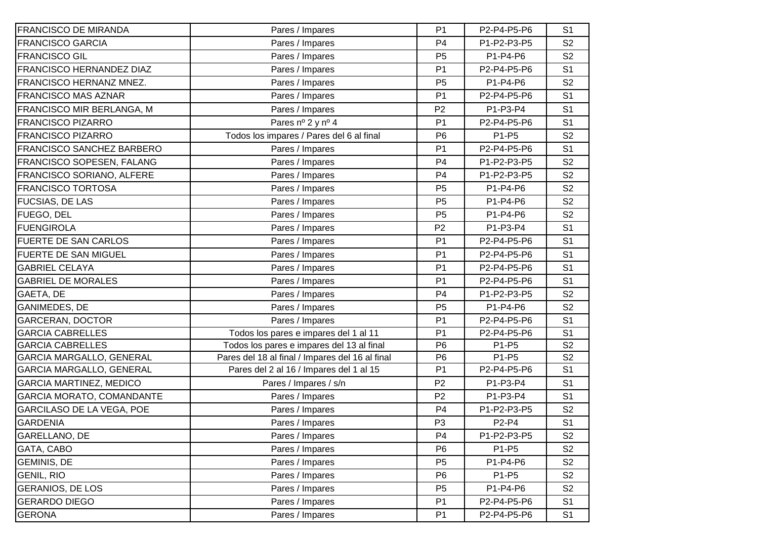| <b>FRANCISCO DE MIRANDA</b>      | Pares / Impares                                 | P <sub>1</sub> | P2-P4-P5-P6 | S <sub>1</sub> |
|----------------------------------|-------------------------------------------------|----------------|-------------|----------------|
| <b>FRANCISCO GARCIA</b>          | Pares / Impares                                 | P <sub>4</sub> | P1-P2-P3-P5 | S <sub>2</sub> |
| <b>FRANCISCO GIL</b>             | Pares / Impares                                 | P <sub>5</sub> | P1-P4-P6    | S <sub>2</sub> |
| <b>FRANCISCO HERNANDEZ DIAZ</b>  | Pares / Impares                                 | P <sub>1</sub> | P2-P4-P5-P6 | S <sub>1</sub> |
| FRANCISCO HERNANZ MNEZ.          | Pares / Impares                                 | P <sub>5</sub> | P1-P4-P6    | S <sub>2</sub> |
| <b>FRANCISCO MAS AZNAR</b>       | Pares / Impares                                 | P <sub>1</sub> | P2-P4-P5-P6 | S <sub>1</sub> |
| FRANCISCO MIR BERLANGA, M        | Pares / Impares                                 | P <sub>2</sub> | P1-P3-P4    | S <sub>1</sub> |
| <b>FRANCISCO PIZARRO</b>         | Pares nº 2 y nº 4                               | P <sub>1</sub> | P2-P4-P5-P6 | S <sub>1</sub> |
| <b>FRANCISCO PIZARRO</b>         | Todos los impares / Pares del 6 al final        | P <sub>6</sub> | P1-P5       | S <sub>2</sub> |
| <b>FRANCISCO SANCHEZ BARBERO</b> | Pares / Impares                                 | P <sub>1</sub> | P2-P4-P5-P6 | S <sub>1</sub> |
| FRANCISCO SOPESEN, FALANG        | Pares / Impares                                 | P <sub>4</sub> | P1-P2-P3-P5 | S <sub>2</sub> |
| FRANCISCO SORIANO, ALFERE        | Pares / Impares                                 | P <sub>4</sub> | P1-P2-P3-P5 | S <sub>2</sub> |
| <b>FRANCISCO TORTOSA</b>         | Pares / Impares                                 | P <sub>5</sub> | P1-P4-P6    | S <sub>2</sub> |
| <b>FUCSIAS, DE LAS</b>           | Pares / Impares                                 | P <sub>5</sub> | P1-P4-P6    | S <sub>2</sub> |
| FUEGO, DEL                       | Pares / Impares                                 | P <sub>5</sub> | P1-P4-P6    | S <sub>2</sub> |
| <b>FUENGIROLA</b>                | Pares / Impares                                 | P <sub>2</sub> | P1-P3-P4    | S <sub>1</sub> |
| <b>FUERTE DE SAN CARLOS</b>      | Pares / Impares                                 | P <sub>1</sub> | P2-P4-P5-P6 | S <sub>1</sub> |
| FUERTE DE SAN MIGUEL             | Pares / Impares                                 | P <sub>1</sub> | P2-P4-P5-P6 | S <sub>1</sub> |
| <b>GABRIEL CELAYA</b>            | Pares / Impares                                 | P <sub>1</sub> | P2-P4-P5-P6 | S <sub>1</sub> |
| <b>GABRIEL DE MORALES</b>        | Pares / Impares                                 | P <sub>1</sub> | P2-P4-P5-P6 | S <sub>1</sub> |
| GAETA, DE                        | Pares / Impares                                 | P <sub>4</sub> | P1-P2-P3-P5 | S <sub>2</sub> |
| <b>GANIMEDES, DE</b>             | Pares / Impares                                 | P <sub>5</sub> | P1-P4-P6    | S <sub>2</sub> |
| <b>GARCERAN, DOCTOR</b>          | Pares / Impares                                 | P <sub>1</sub> | P2-P4-P5-P6 | S <sub>1</sub> |
| <b>GARCIA CABRELLES</b>          | Todos los pares e impares del 1 al 11           | P <sub>1</sub> | P2-P4-P5-P6 | S <sub>1</sub> |
| <b>GARCIA CABRELLES</b>          | Todos los pares e impares del 13 al final       | P <sub>6</sub> | P1-P5       | S <sub>2</sub> |
| GARCIA MARGALLO, GENERAL         | Pares del 18 al final / Impares del 16 al final | P <sub>6</sub> | P1-P5       | S <sub>2</sub> |
| GARCIA MARGALLO, GENERAL         | Pares del 2 al 16 / Impares del 1 al 15         | P <sub>1</sub> | P2-P4-P5-P6 | S <sub>1</sub> |
| <b>GARCIA MARTINEZ, MEDICO</b>   | Pares / Impares / s/n                           | P <sub>2</sub> | P1-P3-P4    | S <sub>1</sub> |
| GARCIA MORATO, COMANDANTE        | Pares / Impares                                 | P <sub>2</sub> | P1-P3-P4    | S <sub>1</sub> |
| GARCILASO DE LA VEGA, POE        | Pares / Impares                                 | P <sub>4</sub> | P1-P2-P3-P5 | S <sub>2</sub> |
| <b>GARDENIA</b>                  | Pares / Impares                                 | P <sub>3</sub> | P2-P4       | S <sub>1</sub> |
| GARELLANO, DE                    | Pares / Impares                                 | P <sub>4</sub> | P1-P2-P3-P5 | S <sub>2</sub> |
| GATA, CABO                       | Pares / Impares                                 | P <sub>6</sub> | P1-P5       | S <sub>2</sub> |
| <b>GEMINIS, DE</b>               | Pares / Impares                                 | P <sub>5</sub> | P1-P4-P6    | S <sub>2</sub> |
| <b>GENIL, RIO</b>                | Pares / Impares                                 | P <sub>6</sub> | P1-P5       | S <sub>2</sub> |
| <b>GERANIOS, DE LOS</b>          | Pares / Impares                                 | P <sub>5</sub> | P1-P4-P6    | S <sub>2</sub> |
| <b>GERARDO DIEGO</b>             | Pares / Impares                                 | P <sub>1</sub> | P2-P4-P5-P6 | S <sub>1</sub> |
| <b>GERONA</b>                    | Pares / Impares                                 | P <sub>1</sub> | P2-P4-P5-P6 | S <sub>1</sub> |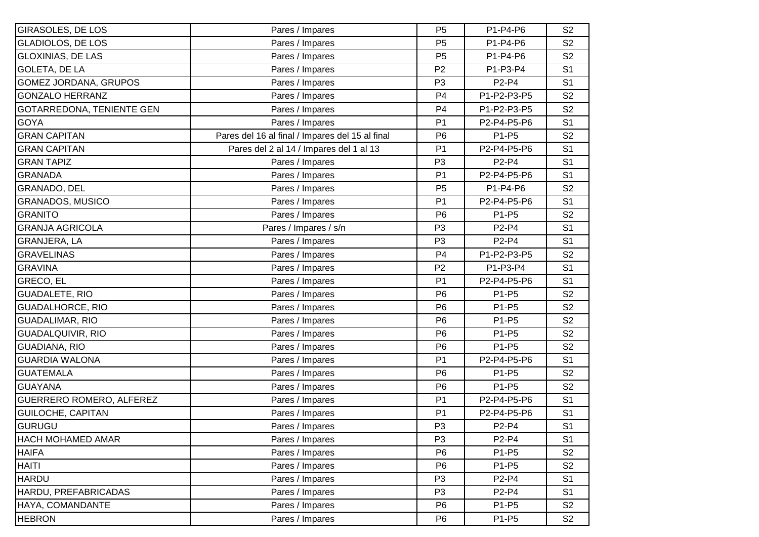| <b>GIRASOLES, DE LOS</b>        | Pares / Impares                                 | P <sub>5</sub> | P1-P4-P6    | S <sub>2</sub> |
|---------------------------------|-------------------------------------------------|----------------|-------------|----------------|
| <b>GLADIOLOS, DE LOS</b>        | Pares / Impares                                 | P <sub>5</sub> | P1-P4-P6    | S <sub>2</sub> |
| <b>GLOXINIAS, DE LAS</b>        | Pares / Impares                                 | P <sub>5</sub> | P1-P4-P6    | S <sub>2</sub> |
| <b>GOLETA, DE LA</b>            | Pares / Impares                                 | P <sub>2</sub> | P1-P3-P4    | S <sub>1</sub> |
| GOMEZ JORDANA, GRUPOS           | Pares / Impares                                 | P <sub>3</sub> | P2-P4       | S <sub>1</sub> |
| <b>GONZALO HERRANZ</b>          | Pares / Impares                                 | P <sub>4</sub> | P1-P2-P3-P5 | S <sub>2</sub> |
| GOTARREDONA, TENIENTE GEN       | Pares / Impares                                 | P <sub>4</sub> | P1-P2-P3-P5 | S <sub>2</sub> |
| <b>GOYA</b>                     | Pares / Impares                                 | P <sub>1</sub> | P2-P4-P5-P6 | S <sub>1</sub> |
| <b>GRAN CAPITAN</b>             | Pares del 16 al final / Impares del 15 al final | P <sub>6</sub> | P1-P5       | S <sub>2</sub> |
| <b>GRAN CAPITAN</b>             | Pares del 2 al 14 / Impares del 1 al 13         | P <sub>1</sub> | P2-P4-P5-P6 | S <sub>1</sub> |
| <b>GRAN TAPIZ</b>               | Pares / Impares                                 | P <sub>3</sub> | P2-P4       | S <sub>1</sub> |
| <b>GRANADA</b>                  | Pares / Impares                                 | P <sub>1</sub> | P2-P4-P5-P6 | S <sub>1</sub> |
| <b>GRANADO, DEL</b>             | Pares / Impares                                 | P <sub>5</sub> | P1-P4-P6    | S <sub>2</sub> |
| <b>GRANADOS, MUSICO</b>         | Pares / Impares                                 | P <sub>1</sub> | P2-P4-P5-P6 | S <sub>1</sub> |
| <b>GRANITO</b>                  | Pares / Impares                                 | P <sub>6</sub> | P1-P5       | S <sub>2</sub> |
| <b>GRANJA AGRICOLA</b>          | Pares / Impares / s/n                           | P <sub>3</sub> | P2-P4       | S <sub>1</sub> |
| <b>GRANJERA, LA</b>             | Pares / Impares                                 | P <sub>3</sub> | P2-P4       | S <sub>1</sub> |
| <b>GRAVELINAS</b>               | Pares / Impares                                 | P <sub>4</sub> | P1-P2-P3-P5 | S <sub>2</sub> |
| <b>GRAVINA</b>                  | Pares / Impares                                 | P <sub>2</sub> | P1-P3-P4    | S <sub>1</sub> |
| <b>GRECO, EL</b>                | Pares / Impares                                 | P <sub>1</sub> | P2-P4-P5-P6 | S <sub>1</sub> |
| <b>GUADALETE, RIO</b>           | Pares / Impares                                 | P <sub>6</sub> | P1-P5       | S <sub>2</sub> |
| <b>GUADALHORCE, RIO</b>         | Pares / Impares                                 | P <sub>6</sub> | P1-P5       | S <sub>2</sub> |
| <b>GUADALIMAR, RIO</b>          | Pares / Impares                                 | P <sub>6</sub> | P1-P5       | S <sub>2</sub> |
| <b>GUADALQUIVIR, RIO</b>        | Pares / Impares                                 | P <sub>6</sub> | P1-P5       | S <sub>2</sub> |
| <b>GUADIANA, RIO</b>            | Pares / Impares                                 | P <sub>6</sub> | P1-P5       | S <sub>2</sub> |
| <b>GUARDIA WALONA</b>           | Pares / Impares                                 | P <sub>1</sub> | P2-P4-P5-P6 | S <sub>1</sub> |
| <b>GUATEMALA</b>                | Pares / Impares                                 | P <sub>6</sub> | P1-P5       | S <sub>2</sub> |
| <b>GUAYANA</b>                  | Pares / Impares                                 | P <sub>6</sub> | P1-P5       | S <sub>2</sub> |
| <b>GUERRERO ROMERO, ALFEREZ</b> | Pares / Impares                                 | P <sub>1</sub> | P2-P4-P5-P6 | S <sub>1</sub> |
| <b>GUILOCHE, CAPITAN</b>        | Pares / Impares                                 | P <sub>1</sub> | P2-P4-P5-P6 | S <sub>1</sub> |
| GURUGU                          | Pares / Impares                                 | P <sub>3</sub> | P2-P4       | S <sub>1</sub> |
| <b>HACH MOHAMED AMAR</b>        | Pares / Impares                                 | P <sub>3</sub> | P2-P4       | S <sub>1</sub> |
| <b>HAIFA</b>                    | Pares / Impares                                 | P <sub>6</sub> | P1-P5       | S <sub>2</sub> |
| <b>HAITI</b>                    | Pares / Impares                                 | P <sub>6</sub> | P1-P5       | S <sub>2</sub> |
| <b>HARDU</b>                    | Pares / Impares                                 | P <sub>3</sub> | P2-P4       | S <sub>1</sub> |
| HARDU, PREFABRICADAS            | Pares / Impares                                 | P <sub>3</sub> | P2-P4       | S <sub>1</sub> |
| HAYA, COMANDANTE                | Pares / Impares                                 | P <sub>6</sub> | P1-P5       | S <sub>2</sub> |
| <b>HEBRON</b>                   | Pares / Impares                                 | P <sub>6</sub> | P1-P5       | S <sub>2</sub> |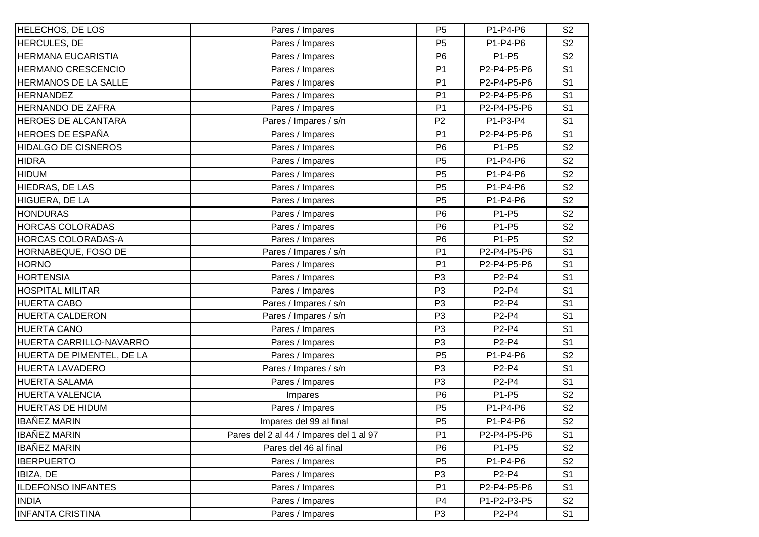| <b>HELECHOS, DE LOS</b>    | Pares / Impares                         | P <sub>5</sub> | P1-P4-P6    | S <sub>2</sub> |
|----------------------------|-----------------------------------------|----------------|-------------|----------------|
| <b>HERCULES, DE</b>        | Pares / Impares                         | P <sub>5</sub> | P1-P4-P6    | S <sub>2</sub> |
| HERMANA EUCARISTIA         | Pares / Impares                         | P <sub>6</sub> | P1-P5       | S <sub>2</sub> |
| <b>HERMANO CRESCENCIO</b>  | Pares / Impares                         | P <sub>1</sub> | P2-P4-P5-P6 | S <sub>1</sub> |
| HERMANOS DE LA SALLE       | Pares / Impares                         | P <sub>1</sub> | P2-P4-P5-P6 | S <sub>1</sub> |
| <b>HERNANDEZ</b>           | Pares / Impares                         | P <sub>1</sub> | P2-P4-P5-P6 | S <sub>1</sub> |
| <b>HERNANDO DE ZAFRA</b>   | Pares / Impares                         | P <sub>1</sub> | P2-P4-P5-P6 | S <sub>1</sub> |
| HEROES DE ALCANTARA        | Pares / Impares / s/n                   | P <sub>2</sub> | P1-P3-P4    | S <sub>1</sub> |
| <b>HEROES DE ESPAÑA</b>    | Pares / Impares                         | P <sub>1</sub> | P2-P4-P5-P6 | S <sub>1</sub> |
| <b>HIDALGO DE CISNEROS</b> | Pares / Impares                         | P <sub>6</sub> | P1-P5       | S <sub>2</sub> |
| <b>HIDRA</b>               | Pares / Impares                         | P <sub>5</sub> | P1-P4-P6    | S <sub>2</sub> |
| <b>HIDUM</b>               | Pares / Impares                         | P <sub>5</sub> | P1-P4-P6    | S <sub>2</sub> |
| HIEDRAS, DE LAS            | Pares / Impares                         | P <sub>5</sub> | P1-P4-P6    | S <sub>2</sub> |
| HIGUERA, DE LA             | Pares / Impares                         | P <sub>5</sub> | P1-P4-P6    | S <sub>2</sub> |
| <b>HONDURAS</b>            | Pares / Impares                         | P <sub>6</sub> | P1-P5       | S <sub>2</sub> |
| <b>HORCAS COLORADAS</b>    | Pares / Impares                         | P <sub>6</sub> | P1-P5       | S <sub>2</sub> |
| HORCAS COLORADAS-A         | Pares / Impares                         | P <sub>6</sub> | P1-P5       | S <sub>2</sub> |
| HORNABEQUE, FOSO DE        | Pares / Impares / s/n                   | P <sub>1</sub> | P2-P4-P5-P6 | S <sub>1</sub> |
| <b>HORNO</b>               | Pares / Impares                         | P <sub>1</sub> | P2-P4-P5-P6 | S <sub>1</sub> |
| <b>HORTENSIA</b>           | Pares / Impares                         | P <sub>3</sub> | P2-P4       | S <sub>1</sub> |
| <b>HOSPITAL MILITAR</b>    | Pares / Impares                         | P <sub>3</sub> | P2-P4       | S <sub>1</sub> |
| <b>HUERTA CABO</b>         | Pares / Impares / s/n                   | P <sub>3</sub> | P2-P4       | S <sub>1</sub> |
| <b>HUERTA CALDERON</b>     | Pares / Impares / s/n                   | P <sub>3</sub> | P2-P4       | S <sub>1</sub> |
| <b>HUERTA CANO</b>         | Pares / Impares                         | P <sub>3</sub> | P2-P4       | S <sub>1</sub> |
| HUERTA CARRILLO-NAVARRO    | Pares / Impares                         | P <sub>3</sub> | P2-P4       | S <sub>1</sub> |
| HUERTA DE PIMENTEL, DE LA  | Pares / Impares                         | P <sub>5</sub> | P1-P4-P6    | S <sub>2</sub> |
| <b>HUERTA LAVADERO</b>     | Pares / Impares / s/n                   | P <sub>3</sub> | P2-P4       | S <sub>1</sub> |
| <b>HUERTA SALAMA</b>       | Pares / Impares                         | P <sub>3</sub> | P2-P4       | S <sub>1</sub> |
| HUERTA VALENCIA            | Impares                                 | P <sub>6</sub> | P1-P5       | S <sub>2</sub> |
| <b>HUERTAS DE HIDUM</b>    | Pares / Impares                         | P <sub>5</sub> | P1-P4-P6    | S <sub>2</sub> |
| <b>IBAÑEZ MARIN</b>        | Impares del 99 al final                 | P <sub>5</sub> | P1-P4-P6    | S <sub>2</sub> |
| <b>IBAÑEZ MARIN</b>        | Pares del 2 al 44 / Impares del 1 al 97 | P <sub>1</sub> | P2-P4-P5-P6 | S <sub>1</sub> |
| <b>IBAÑEZ MARIN</b>        | Pares del 46 al final                   | P <sub>6</sub> | P1-P5       | S <sub>2</sub> |
| <b>IBERPUERTO</b>          | Pares / Impares                         | P <sub>5</sub> | P1-P4-P6    | S <sub>2</sub> |
| IBIZA, DE                  | Pares / Impares                         | P <sub>3</sub> | P2-P4       | S <sub>1</sub> |
| <b>ILDEFONSO INFANTES</b>  | Pares / Impares                         | P <sub>1</sub> | P2-P4-P5-P6 | S <sub>1</sub> |
| <b>INDIA</b>               | Pares / Impares                         | P <sub>4</sub> | P1-P2-P3-P5 | S <sub>2</sub> |
| <b>INFANTA CRISTINA</b>    | Pares / Impares                         | P <sub>3</sub> | P2-P4       | S <sub>1</sub> |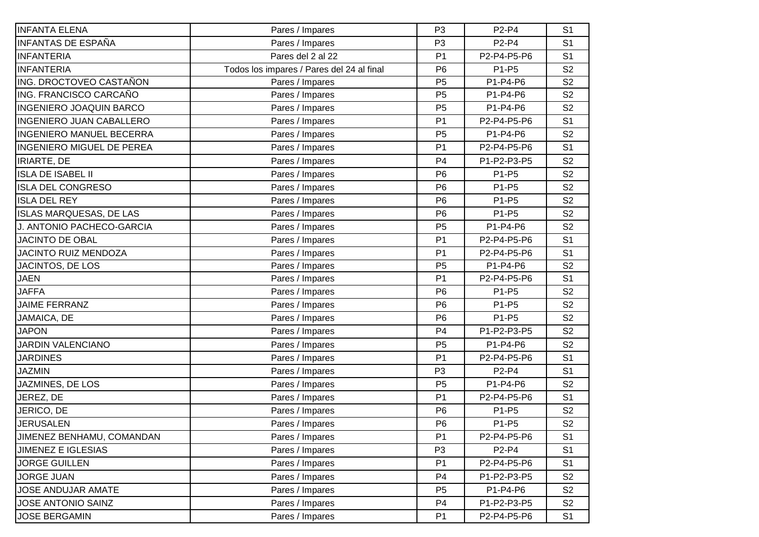| <b>INFANTA ELENA</b>             | Pares / Impares                           | P <sub>3</sub> | P2-P4       | S <sub>1</sub> |
|----------------------------------|-------------------------------------------|----------------|-------------|----------------|
| <b>INFANTAS DE ESPAÑA</b>        | Pares / Impares                           | P <sub>3</sub> | P2-P4       | S <sub>1</sub> |
| <b>INFANTERIA</b>                | Pares del 2 al 22                         | P <sub>1</sub> | P2-P4-P5-P6 | S <sub>1</sub> |
| <b>INFANTERIA</b>                | Todos los impares / Pares del 24 al final | P <sub>6</sub> | P1-P5       | S <sub>2</sub> |
| ING. DROCTOVEO CASTAÑON          | Pares / Impares                           | P <sub>5</sub> | P1-P4-P6    | S <sub>2</sub> |
| ING. FRANCISCO CARCAÑO           | Pares / Impares                           | P <sub>5</sub> | P1-P4-P6    | S <sub>2</sub> |
| <b>INGENIERO JOAQUIN BARCO</b>   | Pares / Impares                           | P <sub>5</sub> | P1-P4-P6    | S <sub>2</sub> |
| <b>INGENIERO JUAN CABALLERO</b>  | Pares / Impares                           | P <sub>1</sub> | P2-P4-P5-P6 | S <sub>1</sub> |
| <b>INGENIERO MANUEL BECERRA</b>  | Pares / Impares                           | P <sub>5</sub> | P1-P4-P6    | S <sub>2</sub> |
| <b>INGENIERO MIGUEL DE PEREA</b> | Pares / Impares                           | P <sub>1</sub> | P2-P4-P5-P6 | S <sub>1</sub> |
| <b>IRIARTE, DE</b>               | Pares / Impares                           | P <sub>4</sub> | P1-P2-P3-P5 | S <sub>2</sub> |
| <b>ISLA DE ISABEL II</b>         | Pares / Impares                           | P <sub>6</sub> | P1-P5       | S <sub>2</sub> |
| <b>ISLA DEL CONGRESO</b>         | Pares / Impares                           | P <sub>6</sub> | P1-P5       | S <sub>2</sub> |
| <b>ISLA DEL REY</b>              | Pares / Impares                           | P <sub>6</sub> | P1-P5       | S <sub>2</sub> |
| <b>ISLAS MARQUESAS, DE LAS</b>   | Pares / Impares                           | P <sub>6</sub> | P1-P5       | S <sub>2</sub> |
| J. ANTONIO PACHECO-GARCIA        | Pares / Impares                           | P <sub>5</sub> | P1-P4-P6    | S <sub>2</sub> |
| <b>JACINTO DE OBAL</b>           | Pares / Impares                           | P <sub>1</sub> | P2-P4-P5-P6 | S <sub>1</sub> |
| <b>JACINTO RUIZ MENDOZA</b>      | Pares / Impares                           | P <sub>1</sub> | P2-P4-P5-P6 | S <sub>1</sub> |
| JACINTOS, DE LOS                 | Pares / Impares                           | P <sub>5</sub> | P1-P4-P6    | S <sub>2</sub> |
| <b>JAEN</b>                      | Pares / Impares                           | P <sub>1</sub> | P2-P4-P5-P6 | S <sub>1</sub> |
| <b>JAFFA</b>                     | Pares / Impares                           | P <sub>6</sub> | P1-P5       | S <sub>2</sub> |
| <b>JAIME FERRANZ</b>             | Pares / Impares                           | P <sub>6</sub> | P1-P5       | S <sub>2</sub> |
| JAMAICA, DE                      | Pares / Impares                           | P <sub>6</sub> | P1-P5       | S <sub>2</sub> |
| <b>JAPON</b>                     | Pares / Impares                           | P <sub>4</sub> | P1-P2-P3-P5 | S <sub>2</sub> |
| <b>JARDIN VALENCIANO</b>         | Pares / Impares                           | P <sub>5</sub> | P1-P4-P6    | S <sub>2</sub> |
| <b>JARDINES</b>                  | Pares / Impares                           | P <sub>1</sub> | P2-P4-P5-P6 | S <sub>1</sub> |
| <b>JAZMIN</b>                    | Pares / Impares                           | P <sub>3</sub> | P2-P4       | S <sub>1</sub> |
| JAZMINES, DE LOS                 | Pares / Impares                           | P <sub>5</sub> | P1-P4-P6    | S <sub>2</sub> |
| JEREZ, DE                        | Pares / Impares                           | P <sub>1</sub> | P2-P4-P5-P6 | S <sub>1</sub> |
| JERICO, DE                       | Pares / Impares                           | P <sub>6</sub> | P1-P5       | S <sub>2</sub> |
| <b>JERUSALEN</b>                 | Pares / Impares                           | P <sub>6</sub> | P1-P5       | S <sub>2</sub> |
| JIMENEZ BENHAMU, COMANDAN        | Pares / Impares                           | P <sub>1</sub> | P2-P4-P5-P6 | S <sub>1</sub> |
| <b>JIMENEZ E IGLESIAS</b>        | Pares / Impares                           | P <sub>3</sub> | P2-P4       | S <sub>1</sub> |
| <b>JORGE GUILLEN</b>             | Pares / Impares                           | P <sub>1</sub> | P2-P4-P5-P6 | S <sub>1</sub> |
| <b>JORGE JUAN</b>                | Pares / Impares                           | P <sub>4</sub> | P1-P2-P3-P5 | S <sub>2</sub> |
| <b>JOSE ANDUJAR AMATE</b>        | Pares / Impares                           | P <sub>5</sub> | P1-P4-P6    | S <sub>2</sub> |
| <b>JOSE ANTONIO SAINZ</b>        | Pares / Impares                           | P <sub>4</sub> | P1-P2-P3-P5 | S <sub>2</sub> |
| <b>JOSE BERGAMIN</b>             | Pares / Impares                           | P <sub>1</sub> | P2-P4-P5-P6 | S <sub>1</sub> |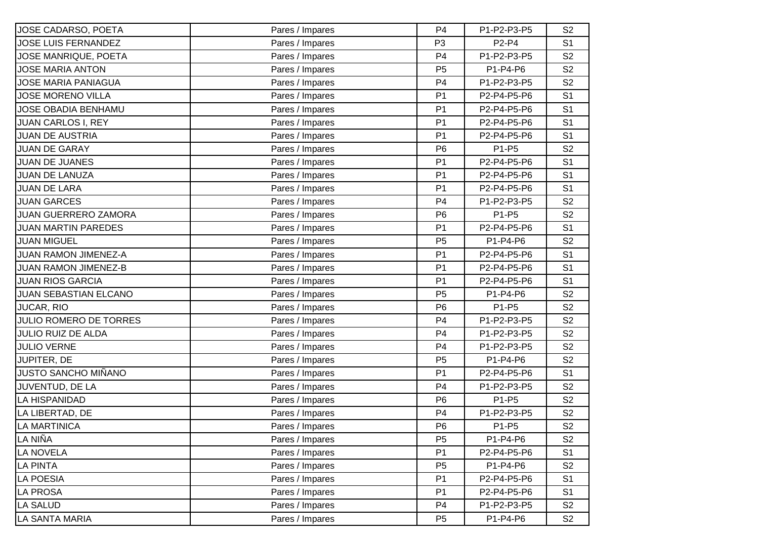| JOSE CADARSO, POETA           | Pares / Impares | P <sub>4</sub> | P1-P2-P3-P5 | S <sub>2</sub> |
|-------------------------------|-----------------|----------------|-------------|----------------|
| <b>JOSE LUIS FERNANDEZ</b>    | Pares / Impares | P <sub>3</sub> | P2-P4       | S <sub>1</sub> |
| JOSE MANRIQUE, POETA          | Pares / Impares | P <sub>4</sub> | P1-P2-P3-P5 | S <sub>2</sub> |
| <b>JOSE MARIA ANTON</b>       | Pares / Impares | P <sub>5</sub> | P1-P4-P6    | S <sub>2</sub> |
| <b>JOSE MARIA PANIAGUA</b>    | Pares / Impares | P <sub>4</sub> | P1-P2-P3-P5 | S <sub>2</sub> |
| <b>JOSE MORENO VILLA</b>      | Pares / Impares | P <sub>1</sub> | P2-P4-P5-P6 | S <sub>1</sub> |
| <b>JOSE OBADIA BENHAMU</b>    | Pares / Impares | P <sub>1</sub> | P2-P4-P5-P6 | S <sub>1</sub> |
| <b>JUAN CARLOS I, REY</b>     | Pares / Impares | P <sub>1</sub> | P2-P4-P5-P6 | S <sub>1</sub> |
| <b>JUAN DE AUSTRIA</b>        | Pares / Impares | P <sub>1</sub> | P2-P4-P5-P6 | S <sub>1</sub> |
| <b>JUAN DE GARAY</b>          | Pares / Impares | P <sub>6</sub> | P1-P5       | S <sub>2</sub> |
| <b>JUAN DE JUANES</b>         | Pares / Impares | P <sub>1</sub> | P2-P4-P5-P6 | S <sub>1</sub> |
| <b>JUAN DE LANUZA</b>         | Pares / Impares | P <sub>1</sub> | P2-P4-P5-P6 | S <sub>1</sub> |
| <b>JUAN DE LARA</b>           | Pares / Impares | P <sub>1</sub> | P2-P4-P5-P6 | S <sub>1</sub> |
| <b>JUAN GARCES</b>            | Pares / Impares | P <sub>4</sub> | P1-P2-P3-P5 | S <sub>2</sub> |
| <b>JUAN GUERRERO ZAMORA</b>   | Pares / Impares | P <sub>6</sub> | P1-P5       | S <sub>2</sub> |
| <b>JUAN MARTIN PAREDES</b>    | Pares / Impares | P <sub>1</sub> | P2-P4-P5-P6 | S <sub>1</sub> |
| <b>JUAN MIGUEL</b>            | Pares / Impares | P <sub>5</sub> | P1-P4-P6    | S <sub>2</sub> |
| <b>JUAN RAMON JIMENEZ-A</b>   | Pares / Impares | P <sub>1</sub> | P2-P4-P5-P6 | S <sub>1</sub> |
| <b>JUAN RAMON JIMENEZ-B</b>   | Pares / Impares | P <sub>1</sub> | P2-P4-P5-P6 | S <sub>1</sub> |
| <b>JUAN RIOS GARCIA</b>       | Pares / Impares | P <sub>1</sub> | P2-P4-P5-P6 | S <sub>1</sub> |
| <b>JUAN SEBASTIAN ELCANO</b>  | Pares / Impares | P <sub>5</sub> | P1-P4-P6    | S <sub>2</sub> |
| JUCAR, RIO                    | Pares / Impares | P <sub>6</sub> | P1-P5       | S <sub>2</sub> |
| <b>JULIO ROMERO DE TORRES</b> | Pares / Impares | P <sub>4</sub> | P1-P2-P3-P5 | S <sub>2</sub> |
| <b>JULIO RUIZ DE ALDA</b>     | Pares / Impares | P <sub>4</sub> | P1-P2-P3-P5 | S <sub>2</sub> |
| <b>JULIO VERNE</b>            | Pares / Impares | P <sub>4</sub> | P1-P2-P3-P5 | S <sub>2</sub> |
| JUPITER, DE                   | Pares / Impares | P <sub>5</sub> | P1-P4-P6    | S <sub>2</sub> |
| JUSTO SANCHO MIÑANO           | Pares / Impares | P <sub>1</sub> | P2-P4-P5-P6 | S <sub>1</sub> |
| JUVENTUD, DE LA               | Pares / Impares | P <sub>4</sub> | P1-P2-P3-P5 | S <sub>2</sub> |
| <b>LA HISPANIDAD</b>          | Pares / Impares | P <sub>6</sub> | P1-P5       | S <sub>2</sub> |
| LA LIBERTAD, DE               | Pares / Impares | P <sub>4</sub> | P1-P2-P3-P5 | S <sub>2</sub> |
| LA MARTINICA                  | Pares / Impares | P <sub>6</sub> | P1-P5       | S <sub>2</sub> |
| LA NIÑA                       | Pares / Impares | P <sub>5</sub> | P1-P4-P6    | S <sub>2</sub> |
| LA NOVELA                     | Pares / Impares | P <sub>1</sub> | P2-P4-P5-P6 | S <sub>1</sub> |
| <b>LA PINTA</b>               | Pares / Impares | P <sub>5</sub> | P1-P4-P6    | S <sub>2</sub> |
| <b>LA POESIA</b>              | Pares / Impares | P <sub>1</sub> | P2-P4-P5-P6 | S <sub>1</sub> |
| LA PROSA                      | Pares / Impares | P <sub>1</sub> | P2-P4-P5-P6 | S <sub>1</sub> |
| <b>LA SALUD</b>               | Pares / Impares | P <sub>4</sub> | P1-P2-P3-P5 | S <sub>2</sub> |
| <b>LA SANTA MARIA</b>         | Pares / Impares | P <sub>5</sub> | P1-P4-P6    | S <sub>2</sub> |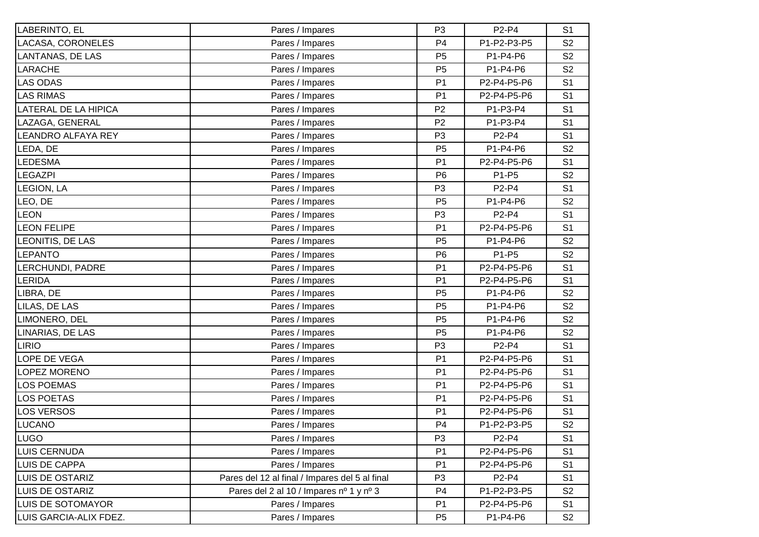| LABERINTO, EL               | Pares / Impares                                | P <sub>3</sub> | P2-P4       | S <sub>1</sub> |
|-----------------------------|------------------------------------------------|----------------|-------------|----------------|
| LACASA, CORONELES           | Pares / Impares                                | P <sub>4</sub> | P1-P2-P3-P5 | S <sub>2</sub> |
| LANTANAS, DE LAS            | Pares / Impares                                | P <sub>5</sub> | P1-P4-P6    | S <sub>2</sub> |
| LARACHE                     | Pares / Impares                                | P <sub>5</sub> | P1-P4-P6    | S <sub>2</sub> |
| <b>LAS ODAS</b>             | Pares / Impares                                | P <sub>1</sub> | P2-P4-P5-P6 | S <sub>1</sub> |
| <b>LAS RIMAS</b>            | Pares / Impares                                | P <sub>1</sub> | P2-P4-P5-P6 | S <sub>1</sub> |
| <b>LATERAL DE LA HIPICA</b> | Pares / Impares                                | P <sub>2</sub> | P1-P3-P4    | S <sub>1</sub> |
| LAZAGA, GENERAL             | Pares / Impares                                | P <sub>2</sub> | P1-P3-P4    | S <sub>1</sub> |
| LEANDRO ALFAYA REY          | Pares / Impares                                | P <sub>3</sub> | P2-P4       | S <sub>1</sub> |
| LEDA, DE                    | Pares / Impares                                | P <sub>5</sub> | P1-P4-P6    | S <sub>2</sub> |
| <b>LEDESMA</b>              | Pares / Impares                                | P <sub>1</sub> | P2-P4-P5-P6 | S <sub>1</sub> |
| <b>LEGAZPI</b>              | Pares / Impares                                | P <sub>6</sub> | P1-P5       | S <sub>2</sub> |
| LEGION, LA                  | Pares / Impares                                | P <sub>3</sub> | P2-P4       | S <sub>1</sub> |
| LEO, DE                     | Pares / Impares                                | P <sub>5</sub> | P1-P4-P6    | S <sub>2</sub> |
| <b>LEON</b>                 | Pares / Impares                                | P <sub>3</sub> | P2-P4       | S <sub>1</sub> |
| <b>LEON FELIPE</b>          | Pares / Impares                                | P <sub>1</sub> | P2-P4-P5-P6 | S <sub>1</sub> |
| LEONITIS, DE LAS            | Pares / Impares                                | P <sub>5</sub> | P1-P4-P6    | S <sub>2</sub> |
| LEPANTO                     | Pares / Impares                                | P <sub>6</sub> | P1-P5       | S <sub>2</sub> |
| LERCHUNDI, PADRE            | Pares / Impares                                | P <sub>1</sub> | P2-P4-P5-P6 | S <sub>1</sub> |
| LERIDA                      | Pares / Impares                                | P <sub>1</sub> | P2-P4-P5-P6 | S <sub>1</sub> |
| LIBRA, DE                   | Pares / Impares                                | P <sub>5</sub> | P1-P4-P6    | S <sub>2</sub> |
| LILAS, DE LAS               | Pares / Impares                                | P <sub>5</sub> | P1-P4-P6    | S <sub>2</sub> |
| LIMONERO, DEL               | Pares / Impares                                | P <sub>5</sub> | P1-P4-P6    | S <sub>2</sub> |
| LINARIAS, DE LAS            | Pares / Impares                                | P <sub>5</sub> | P1-P4-P6    | S <sub>2</sub> |
| <b>LIRIO</b>                | Pares / Impares                                | P <sub>3</sub> | P2-P4       | S <sub>1</sub> |
| LOPE DE VEGA                | Pares / Impares                                | P <sub>1</sub> | P2-P4-P5-P6 | S <sub>1</sub> |
| <b>LOPEZ MORENO</b>         | Pares / Impares                                | P <sub>1</sub> | P2-P4-P5-P6 | S <sub>1</sub> |
| <b>LOS POEMAS</b>           | Pares / Impares                                | P <sub>1</sub> | P2-P4-P5-P6 | S <sub>1</sub> |
| <b>LOS POETAS</b>           | Pares / Impares                                | P <sub>1</sub> | P2-P4-P5-P6 | S <sub>1</sub> |
| <b>LOS VERSOS</b>           | Pares / Impares                                | P <sub>1</sub> | P2-P4-P5-P6 | S <sub>1</sub> |
| LUCANO                      | Pares / Impares                                | P4             | P1-P2-P3-P5 | S <sub>2</sub> |
| <b>LUGO</b>                 | Pares / Impares                                | P <sub>3</sub> | P2-P4       | S <sub>1</sub> |
| <b>LUIS CERNUDA</b>         | Pares / Impares                                | P <sub>1</sub> | P2-P4-P5-P6 | S <sub>1</sub> |
| <b>LUIS DE CAPPA</b>        | Pares / Impares                                | P <sub>1</sub> | P2-P4-P5-P6 | S <sub>1</sub> |
| LUIS DE OSTARIZ             | Pares del 12 al final / Impares del 5 al final | P <sub>3</sub> | P2-P4       | S <sub>1</sub> |
| <b>LUIS DE OSTARIZ</b>      | Pares del 2 al 10 / Impares nº 1 y nº 3        | P4             | P1-P2-P3-P5 | S <sub>2</sub> |
| <b>LUIS DE SOTOMAYOR</b>    | Pares / Impares                                | P <sub>1</sub> | P2-P4-P5-P6 | S <sub>1</sub> |
| LUIS GARCIA-ALIX FDEZ.      | Pares / Impares                                | P <sub>5</sub> | P1-P4-P6    | S <sub>2</sub> |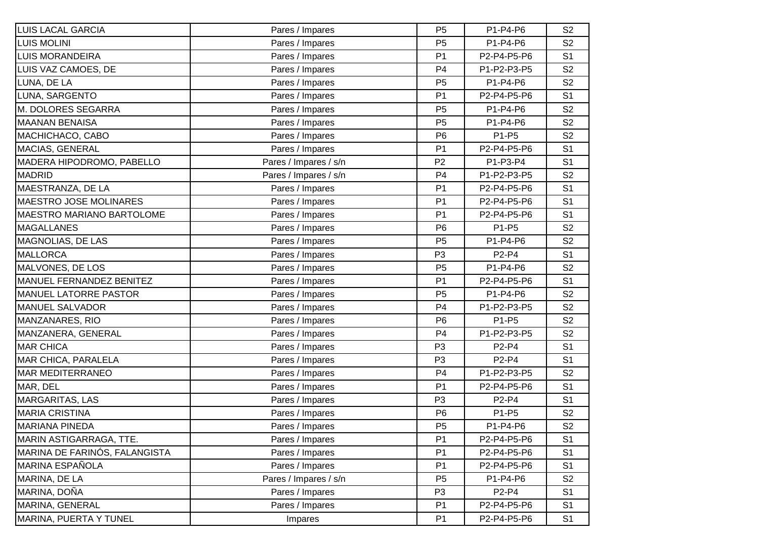| <b>LUIS LACAL GARCIA</b>        | Pares / Impares       | P <sub>5</sub> | P1-P4-P6    | S <sub>2</sub> |
|---------------------------------|-----------------------|----------------|-------------|----------------|
| <b>LUIS MOLINI</b>              | Pares / Impares       | P <sub>5</sub> | P1-P4-P6    | S <sub>2</sub> |
| LUIS MORANDEIRA                 | Pares / Impares       | P <sub>1</sub> | P2-P4-P5-P6 | S <sub>1</sub> |
| LUIS VAZ CAMOES, DE             | Pares / Impares       | P <sub>4</sub> | P1-P2-P3-P5 | S <sub>2</sub> |
| LUNA, DE LA                     | Pares / Impares       | P <sub>5</sub> | P1-P4-P6    | S <sub>2</sub> |
| LUNA, SARGENTO                  | Pares / Impares       | P <sub>1</sub> | P2-P4-P5-P6 | S <sub>1</sub> |
| M. DOLORES SEGARRA              | Pares / Impares       | P <sub>5</sub> | P1-P4-P6    | S <sub>2</sub> |
| <b>MAANAN BENAISA</b>           | Pares / Impares       | P <sub>5</sub> | P1-P4-P6    | S <sub>2</sub> |
| MACHICHACO, CABO                | Pares / Impares       | P <sub>6</sub> | P1-P5       | S <sub>2</sub> |
| MACIAS, GENERAL                 | Pares / Impares       | P <sub>1</sub> | P2-P4-P5-P6 | S <sub>1</sub> |
| MADERA HIPODROMO, PABELLO       | Pares / Impares / s/n | P <sub>2</sub> | P1-P3-P4    | S <sub>1</sub> |
| <b>MADRID</b>                   | Pares / Impares / s/n | P <sub>4</sub> | P1-P2-P3-P5 | S <sub>2</sub> |
| MAESTRANZA, DE LA               | Pares / Impares       | P <sub>1</sub> | P2-P4-P5-P6 | S <sub>1</sub> |
| <b>MAESTRO JOSE MOLINARES</b>   | Pares / Impares       | P <sub>1</sub> | P2-P4-P5-P6 | S <sub>1</sub> |
| MAESTRO MARIANO BARTOLOME       | Pares / Impares       | P <sub>1</sub> | P2-P4-P5-P6 | S <sub>1</sub> |
| <b>MAGALLANES</b>               | Pares / Impares       | P <sub>6</sub> | P1-P5       | S <sub>2</sub> |
| MAGNOLIAS, DE LAS               | Pares / Impares       | P <sub>5</sub> | P1-P4-P6    | S <sub>2</sub> |
| <b>MALLORCA</b>                 | Pares / Impares       | P <sub>3</sub> | P2-P4       | S <sub>1</sub> |
| MALVONES, DE LOS                | Pares / Impares       | P <sub>5</sub> | P1-P4-P6    | S <sub>2</sub> |
| <b>MANUEL FERNANDEZ BENITEZ</b> | Pares / Impares       | P <sub>1</sub> | P2-P4-P5-P6 | S <sub>1</sub> |
| <b>MANUEL LATORRE PASTOR</b>    | Pares / Impares       | P <sub>5</sub> | P1-P4-P6    | S <sub>2</sub> |
| <b>MANUEL SALVADOR</b>          | Pares / Impares       | P <sub>4</sub> | P1-P2-P3-P5 | S <sub>2</sub> |
| MANZANARES, RIO                 | Pares / Impares       | P <sub>6</sub> | P1-P5       | S <sub>2</sub> |
| MANZANERA, GENERAL              | Pares / Impares       | P <sub>4</sub> | P1-P2-P3-P5 | S <sub>2</sub> |
| <b>MAR CHICA</b>                | Pares / Impares       | P <sub>3</sub> | P2-P4       | S <sub>1</sub> |
| MAR CHICA, PARALELA             | Pares / Impares       | P <sub>3</sub> | P2-P4       | S <sub>1</sub> |
| <b>MAR MEDITERRANEO</b>         | Pares / Impares       | P <sub>4</sub> | P1-P2-P3-P5 | S <sub>2</sub> |
| MAR, DEL                        | Pares / Impares       | P <sub>1</sub> | P2-P4-P5-P6 | S <sub>1</sub> |
| MARGARITAS, LAS                 | Pares / Impares       | P <sub>3</sub> | P2-P4       | S <sub>1</sub> |
| <b>MARIA CRISTINA</b>           | Pares / Impares       | P <sub>6</sub> | P1-P5       | S <sub>2</sub> |
| MARIANA PINEDA                  | Pares / Impares       | P <sub>5</sub> | P1-P4-P6    | S <sub>2</sub> |
| MARIN ASTIGARRAGA, TTE.         | Pares / Impares       | P <sub>1</sub> | P2-P4-P5-P6 | S <sub>1</sub> |
| MARINA DE FARINÓS, FALANGISTA   | Pares / Impares       | P <sub>1</sub> | P2-P4-P5-P6 | S <sub>1</sub> |
| MARINA ESPAÑOLA                 | Pares / Impares       | P <sub>1</sub> | P2-P4-P5-P6 | S <sub>1</sub> |
| MARINA, DE LA                   | Pares / Impares / s/n | P <sub>5</sub> | P1-P4-P6    | S <sub>2</sub> |
| MARINA, DOÑA                    | Pares / Impares       | P <sub>3</sub> | P2-P4       | S <sub>1</sub> |
| MARINA, GENERAL                 | Pares / Impares       | P <sub>1</sub> | P2-P4-P5-P6 | S <sub>1</sub> |
| MARINA, PUERTA Y TUNEL          | Impares               | P <sub>1</sub> | P2-P4-P5-P6 | S <sub>1</sub> |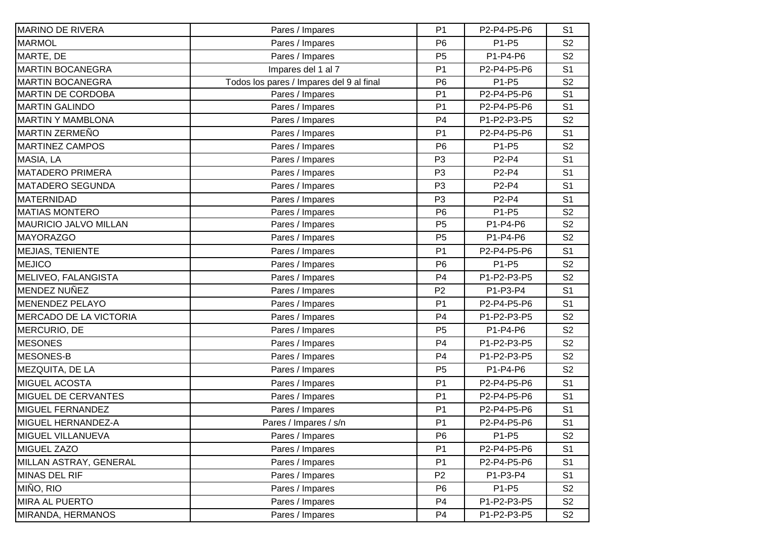| P <sub>1</sub><br>P2-P4-P5-P6<br>S <sub>1</sub><br>Pares / Impares<br>S <sub>2</sub><br>Pares / Impares<br>P <sub>6</sub><br>P1-P5<br>P1-P4-P6<br>Pares / Impares<br>P <sub>5</sub><br>S <sub>2</sub><br>Impares del 1 al 7<br>P <sub>1</sub><br>P2-P4-P5-P6<br>S <sub>1</sub><br>Todos los pares / Impares del 9 al final<br>S <sub>2</sub><br>P <sub>6</sub><br>P1-P5<br>P2-P4-P5-P6<br>Pares / Impares<br>P <sub>1</sub><br>S <sub>1</sub><br>P <sub>1</sub><br>S <sub>1</sub><br>Pares / Impares<br>P2-P4-P5-P6<br>P1-P2-P3-P5<br>Pares / Impares<br>P <sub>4</sub><br>S <sub>2</sub><br>Pares / Impares<br>P <sub>1</sub><br>P2-P4-P5-P6<br>S <sub>1</sub><br>P <sub>6</sub><br>S <sub>2</sub><br>Pares / Impares<br>P1-P5<br>S <sub>1</sub><br>Pares / Impares<br>P <sub>3</sub><br>P2-P4<br>S <sub>1</sub><br>Pares / Impares<br>P <sub>3</sub><br>P2-P4<br>Pares / Impares<br>P <sub>3</sub><br>P2-P4<br>S <sub>1</sub><br>P <sub>3</sub><br>P2-P4<br>S <sub>1</sub><br>Pares / Impares<br>Pares / Impares<br>P <sub>6</sub><br>P1-P5<br>S <sub>2</sub><br>P1-P4-P6<br>Pares / Impares<br>P <sub>5</sub><br>S <sub>2</sub><br>P1-P4-P6<br>S <sub>2</sub><br>Pares / Impares<br>P <sub>5</sub><br>Pares / Impares<br>P <sub>1</sub><br>P2-P4-P5-P6<br>S <sub>1</sub><br>P <sub>6</sub><br>S <sub>2</sub><br>Pares / Impares<br>P1-P5<br>Pares / Impares<br>P <sub>4</sub><br>P1-P2-P3-P5<br>S <sub>2</sub><br>Pares / Impares<br>P <sub>2</sub><br>P1-P3-P4<br>S <sub>1</sub><br>Pares / Impares<br>P2-P4-P5-P6<br>P <sub>1</sub><br>S <sub>1</sub><br>Pares / Impares<br>P <sub>4</sub><br>P1-P2-P3-P5<br>S <sub>2</sub><br>P1-P4-P6<br>S <sub>2</sub><br>Pares / Impares<br>P <sub>5</sub><br>Pares / Impares<br>P <sub>4</sub><br>P1-P2-P3-P5<br>S <sub>2</sub><br>P <sub>4</sub><br>P1-P2-P3-P5<br>S <sub>2</sub><br>Pares / Impares<br>Pares / Impares<br>P1-P4-P6<br>P <sub>5</sub><br>S <sub>2</sub><br>P <sub>1</sub><br>S <sub>1</sub><br>Pares / Impares<br>P2-P4-P5-P6<br>Pares / Impares<br>P <sub>1</sub><br>P2-P4-P5-P6<br>S <sub>1</sub><br>Pares / Impares<br>P <sub>1</sub><br>P2-P4-P5-P6<br>S <sub>1</sub><br>Pares / Impares / s/n<br>S <sub>1</sub><br>P <sub>1</sub><br>P2-P4-P5-P6<br>P1-P5<br>S <sub>2</sub><br>MIGUEL VILLANUEVA<br>P <sub>6</sub><br>Pares / Impares<br>Pares / Impares<br>P <sub>1</sub><br>P2-P4-P5-P6<br>S <sub>1</sub><br>Pares / Impares<br>P <sub>1</sub><br>P2-P4-P5-P6<br>S <sub>1</sub><br>Pares / Impares<br>P <sub>2</sub><br>P1-P3-P4<br>S <sub>1</sub><br>Pares / Impares<br>P <sub>6</sub><br>P1-P5<br>S <sub>2</sub><br>Pares / Impares<br>P <sub>4</sub><br>P1-P2-P3-P5<br>S <sub>2</sub><br>P4 |                               |                 |             |                |
|------------------------------------------------------------------------------------------------------------------------------------------------------------------------------------------------------------------------------------------------------------------------------------------------------------------------------------------------------------------------------------------------------------------------------------------------------------------------------------------------------------------------------------------------------------------------------------------------------------------------------------------------------------------------------------------------------------------------------------------------------------------------------------------------------------------------------------------------------------------------------------------------------------------------------------------------------------------------------------------------------------------------------------------------------------------------------------------------------------------------------------------------------------------------------------------------------------------------------------------------------------------------------------------------------------------------------------------------------------------------------------------------------------------------------------------------------------------------------------------------------------------------------------------------------------------------------------------------------------------------------------------------------------------------------------------------------------------------------------------------------------------------------------------------------------------------------------------------------------------------------------------------------------------------------------------------------------------------------------------------------------------------------------------------------------------------------------------------------------------------------------------------------------------------------------------------------------------------------------------------------------------------------------------------------------------------------------------------------------------------------------------------------------------------------------------------------------------------------------------------------------------------------------------------------------------------------------------------------------------------------------------------------------------|-------------------------------|-----------------|-------------|----------------|
|                                                                                                                                                                                                                                                                                                                                                                                                                                                                                                                                                                                                                                                                                                                                                                                                                                                                                                                                                                                                                                                                                                                                                                                                                                                                                                                                                                                                                                                                                                                                                                                                                                                                                                                                                                                                                                                                                                                                                                                                                                                                                                                                                                                                                                                                                                                                                                                                                                                                                                                                                                                                                                                                  | <b>MARINO DE RIVERA</b>       |                 |             |                |
|                                                                                                                                                                                                                                                                                                                                                                                                                                                                                                                                                                                                                                                                                                                                                                                                                                                                                                                                                                                                                                                                                                                                                                                                                                                                                                                                                                                                                                                                                                                                                                                                                                                                                                                                                                                                                                                                                                                                                                                                                                                                                                                                                                                                                                                                                                                                                                                                                                                                                                                                                                                                                                                                  | <b>MARMOL</b>                 |                 |             |                |
|                                                                                                                                                                                                                                                                                                                                                                                                                                                                                                                                                                                                                                                                                                                                                                                                                                                                                                                                                                                                                                                                                                                                                                                                                                                                                                                                                                                                                                                                                                                                                                                                                                                                                                                                                                                                                                                                                                                                                                                                                                                                                                                                                                                                                                                                                                                                                                                                                                                                                                                                                                                                                                                                  | MARTE, DE                     |                 |             |                |
|                                                                                                                                                                                                                                                                                                                                                                                                                                                                                                                                                                                                                                                                                                                                                                                                                                                                                                                                                                                                                                                                                                                                                                                                                                                                                                                                                                                                                                                                                                                                                                                                                                                                                                                                                                                                                                                                                                                                                                                                                                                                                                                                                                                                                                                                                                                                                                                                                                                                                                                                                                                                                                                                  | <b>MARTIN BOCANEGRA</b>       |                 |             |                |
|                                                                                                                                                                                                                                                                                                                                                                                                                                                                                                                                                                                                                                                                                                                                                                                                                                                                                                                                                                                                                                                                                                                                                                                                                                                                                                                                                                                                                                                                                                                                                                                                                                                                                                                                                                                                                                                                                                                                                                                                                                                                                                                                                                                                                                                                                                                                                                                                                                                                                                                                                                                                                                                                  | <b>MARTIN BOCANEGRA</b>       |                 |             |                |
|                                                                                                                                                                                                                                                                                                                                                                                                                                                                                                                                                                                                                                                                                                                                                                                                                                                                                                                                                                                                                                                                                                                                                                                                                                                                                                                                                                                                                                                                                                                                                                                                                                                                                                                                                                                                                                                                                                                                                                                                                                                                                                                                                                                                                                                                                                                                                                                                                                                                                                                                                                                                                                                                  | <b>MARTIN DE CORDOBA</b>      |                 |             |                |
|                                                                                                                                                                                                                                                                                                                                                                                                                                                                                                                                                                                                                                                                                                                                                                                                                                                                                                                                                                                                                                                                                                                                                                                                                                                                                                                                                                                                                                                                                                                                                                                                                                                                                                                                                                                                                                                                                                                                                                                                                                                                                                                                                                                                                                                                                                                                                                                                                                                                                                                                                                                                                                                                  | <b>MARTIN GALINDO</b>         |                 |             |                |
|                                                                                                                                                                                                                                                                                                                                                                                                                                                                                                                                                                                                                                                                                                                                                                                                                                                                                                                                                                                                                                                                                                                                                                                                                                                                                                                                                                                                                                                                                                                                                                                                                                                                                                                                                                                                                                                                                                                                                                                                                                                                                                                                                                                                                                                                                                                                                                                                                                                                                                                                                                                                                                                                  | <b>MARTIN Y MAMBLONA</b>      |                 |             |                |
|                                                                                                                                                                                                                                                                                                                                                                                                                                                                                                                                                                                                                                                                                                                                                                                                                                                                                                                                                                                                                                                                                                                                                                                                                                                                                                                                                                                                                                                                                                                                                                                                                                                                                                                                                                                                                                                                                                                                                                                                                                                                                                                                                                                                                                                                                                                                                                                                                                                                                                                                                                                                                                                                  | <b>MARTIN ZERMEÑO</b>         |                 |             |                |
|                                                                                                                                                                                                                                                                                                                                                                                                                                                                                                                                                                                                                                                                                                                                                                                                                                                                                                                                                                                                                                                                                                                                                                                                                                                                                                                                                                                                                                                                                                                                                                                                                                                                                                                                                                                                                                                                                                                                                                                                                                                                                                                                                                                                                                                                                                                                                                                                                                                                                                                                                                                                                                                                  | <b>MARTINEZ CAMPOS</b>        |                 |             |                |
|                                                                                                                                                                                                                                                                                                                                                                                                                                                                                                                                                                                                                                                                                                                                                                                                                                                                                                                                                                                                                                                                                                                                                                                                                                                                                                                                                                                                                                                                                                                                                                                                                                                                                                                                                                                                                                                                                                                                                                                                                                                                                                                                                                                                                                                                                                                                                                                                                                                                                                                                                                                                                                                                  | MASIA, LA                     |                 |             |                |
|                                                                                                                                                                                                                                                                                                                                                                                                                                                                                                                                                                                                                                                                                                                                                                                                                                                                                                                                                                                                                                                                                                                                                                                                                                                                                                                                                                                                                                                                                                                                                                                                                                                                                                                                                                                                                                                                                                                                                                                                                                                                                                                                                                                                                                                                                                                                                                                                                                                                                                                                                                                                                                                                  | <b>MATADERO PRIMERA</b>       |                 |             |                |
|                                                                                                                                                                                                                                                                                                                                                                                                                                                                                                                                                                                                                                                                                                                                                                                                                                                                                                                                                                                                                                                                                                                                                                                                                                                                                                                                                                                                                                                                                                                                                                                                                                                                                                                                                                                                                                                                                                                                                                                                                                                                                                                                                                                                                                                                                                                                                                                                                                                                                                                                                                                                                                                                  | <b>MATADERO SEGUNDA</b>       |                 |             |                |
|                                                                                                                                                                                                                                                                                                                                                                                                                                                                                                                                                                                                                                                                                                                                                                                                                                                                                                                                                                                                                                                                                                                                                                                                                                                                                                                                                                                                                                                                                                                                                                                                                                                                                                                                                                                                                                                                                                                                                                                                                                                                                                                                                                                                                                                                                                                                                                                                                                                                                                                                                                                                                                                                  | <b>MATERNIDAD</b>             |                 |             |                |
|                                                                                                                                                                                                                                                                                                                                                                                                                                                                                                                                                                                                                                                                                                                                                                                                                                                                                                                                                                                                                                                                                                                                                                                                                                                                                                                                                                                                                                                                                                                                                                                                                                                                                                                                                                                                                                                                                                                                                                                                                                                                                                                                                                                                                                                                                                                                                                                                                                                                                                                                                                                                                                                                  | <b>MATIAS MONTERO</b>         |                 |             |                |
|                                                                                                                                                                                                                                                                                                                                                                                                                                                                                                                                                                                                                                                                                                                                                                                                                                                                                                                                                                                                                                                                                                                                                                                                                                                                                                                                                                                                                                                                                                                                                                                                                                                                                                                                                                                                                                                                                                                                                                                                                                                                                                                                                                                                                                                                                                                                                                                                                                                                                                                                                                                                                                                                  | <b>MAURICIO JALVO MILLAN</b>  |                 |             |                |
|                                                                                                                                                                                                                                                                                                                                                                                                                                                                                                                                                                                                                                                                                                                                                                                                                                                                                                                                                                                                                                                                                                                                                                                                                                                                                                                                                                                                                                                                                                                                                                                                                                                                                                                                                                                                                                                                                                                                                                                                                                                                                                                                                                                                                                                                                                                                                                                                                                                                                                                                                                                                                                                                  | <b>MAYORAZGO</b>              |                 |             |                |
|                                                                                                                                                                                                                                                                                                                                                                                                                                                                                                                                                                                                                                                                                                                                                                                                                                                                                                                                                                                                                                                                                                                                                                                                                                                                                                                                                                                                                                                                                                                                                                                                                                                                                                                                                                                                                                                                                                                                                                                                                                                                                                                                                                                                                                                                                                                                                                                                                                                                                                                                                                                                                                                                  | MEJIAS, TENIENTE              |                 |             |                |
|                                                                                                                                                                                                                                                                                                                                                                                                                                                                                                                                                                                                                                                                                                                                                                                                                                                                                                                                                                                                                                                                                                                                                                                                                                                                                                                                                                                                                                                                                                                                                                                                                                                                                                                                                                                                                                                                                                                                                                                                                                                                                                                                                                                                                                                                                                                                                                                                                                                                                                                                                                                                                                                                  | <b>MEJICO</b>                 |                 |             |                |
|                                                                                                                                                                                                                                                                                                                                                                                                                                                                                                                                                                                                                                                                                                                                                                                                                                                                                                                                                                                                                                                                                                                                                                                                                                                                                                                                                                                                                                                                                                                                                                                                                                                                                                                                                                                                                                                                                                                                                                                                                                                                                                                                                                                                                                                                                                                                                                                                                                                                                                                                                                                                                                                                  | MELIVEO, FALANGISTA           |                 |             |                |
|                                                                                                                                                                                                                                                                                                                                                                                                                                                                                                                                                                                                                                                                                                                                                                                                                                                                                                                                                                                                                                                                                                                                                                                                                                                                                                                                                                                                                                                                                                                                                                                                                                                                                                                                                                                                                                                                                                                                                                                                                                                                                                                                                                                                                                                                                                                                                                                                                                                                                                                                                                                                                                                                  | <b>MENDEZ NUÑEZ</b>           |                 |             |                |
|                                                                                                                                                                                                                                                                                                                                                                                                                                                                                                                                                                                                                                                                                                                                                                                                                                                                                                                                                                                                                                                                                                                                                                                                                                                                                                                                                                                                                                                                                                                                                                                                                                                                                                                                                                                                                                                                                                                                                                                                                                                                                                                                                                                                                                                                                                                                                                                                                                                                                                                                                                                                                                                                  | <b>MENENDEZ PELAYO</b>        |                 |             |                |
|                                                                                                                                                                                                                                                                                                                                                                                                                                                                                                                                                                                                                                                                                                                                                                                                                                                                                                                                                                                                                                                                                                                                                                                                                                                                                                                                                                                                                                                                                                                                                                                                                                                                                                                                                                                                                                                                                                                                                                                                                                                                                                                                                                                                                                                                                                                                                                                                                                                                                                                                                                                                                                                                  | <b>MERCADO DE LA VICTORIA</b> |                 |             |                |
|                                                                                                                                                                                                                                                                                                                                                                                                                                                                                                                                                                                                                                                                                                                                                                                                                                                                                                                                                                                                                                                                                                                                                                                                                                                                                                                                                                                                                                                                                                                                                                                                                                                                                                                                                                                                                                                                                                                                                                                                                                                                                                                                                                                                                                                                                                                                                                                                                                                                                                                                                                                                                                                                  | MERCURIO, DE                  |                 |             |                |
|                                                                                                                                                                                                                                                                                                                                                                                                                                                                                                                                                                                                                                                                                                                                                                                                                                                                                                                                                                                                                                                                                                                                                                                                                                                                                                                                                                                                                                                                                                                                                                                                                                                                                                                                                                                                                                                                                                                                                                                                                                                                                                                                                                                                                                                                                                                                                                                                                                                                                                                                                                                                                                                                  | <b>MESONES</b>                |                 |             |                |
|                                                                                                                                                                                                                                                                                                                                                                                                                                                                                                                                                                                                                                                                                                                                                                                                                                                                                                                                                                                                                                                                                                                                                                                                                                                                                                                                                                                                                                                                                                                                                                                                                                                                                                                                                                                                                                                                                                                                                                                                                                                                                                                                                                                                                                                                                                                                                                                                                                                                                                                                                                                                                                                                  | MESONES-B                     |                 |             |                |
|                                                                                                                                                                                                                                                                                                                                                                                                                                                                                                                                                                                                                                                                                                                                                                                                                                                                                                                                                                                                                                                                                                                                                                                                                                                                                                                                                                                                                                                                                                                                                                                                                                                                                                                                                                                                                                                                                                                                                                                                                                                                                                                                                                                                                                                                                                                                                                                                                                                                                                                                                                                                                                                                  | MEZQUITA, DE LA               |                 |             |                |
|                                                                                                                                                                                                                                                                                                                                                                                                                                                                                                                                                                                                                                                                                                                                                                                                                                                                                                                                                                                                                                                                                                                                                                                                                                                                                                                                                                                                                                                                                                                                                                                                                                                                                                                                                                                                                                                                                                                                                                                                                                                                                                                                                                                                                                                                                                                                                                                                                                                                                                                                                                                                                                                                  | <b>MIGUEL ACOSTA</b>          |                 |             |                |
|                                                                                                                                                                                                                                                                                                                                                                                                                                                                                                                                                                                                                                                                                                                                                                                                                                                                                                                                                                                                                                                                                                                                                                                                                                                                                                                                                                                                                                                                                                                                                                                                                                                                                                                                                                                                                                                                                                                                                                                                                                                                                                                                                                                                                                                                                                                                                                                                                                                                                                                                                                                                                                                                  | MIGUEL DE CERVANTES           |                 |             |                |
|                                                                                                                                                                                                                                                                                                                                                                                                                                                                                                                                                                                                                                                                                                                                                                                                                                                                                                                                                                                                                                                                                                                                                                                                                                                                                                                                                                                                                                                                                                                                                                                                                                                                                                                                                                                                                                                                                                                                                                                                                                                                                                                                                                                                                                                                                                                                                                                                                                                                                                                                                                                                                                                                  | <b>MIGUEL FERNANDEZ</b>       |                 |             |                |
|                                                                                                                                                                                                                                                                                                                                                                                                                                                                                                                                                                                                                                                                                                                                                                                                                                                                                                                                                                                                                                                                                                                                                                                                                                                                                                                                                                                                                                                                                                                                                                                                                                                                                                                                                                                                                                                                                                                                                                                                                                                                                                                                                                                                                                                                                                                                                                                                                                                                                                                                                                                                                                                                  | MIGUEL HERNANDEZ-A            |                 |             |                |
|                                                                                                                                                                                                                                                                                                                                                                                                                                                                                                                                                                                                                                                                                                                                                                                                                                                                                                                                                                                                                                                                                                                                                                                                                                                                                                                                                                                                                                                                                                                                                                                                                                                                                                                                                                                                                                                                                                                                                                                                                                                                                                                                                                                                                                                                                                                                                                                                                                                                                                                                                                                                                                                                  |                               |                 |             |                |
|                                                                                                                                                                                                                                                                                                                                                                                                                                                                                                                                                                                                                                                                                                                                                                                                                                                                                                                                                                                                                                                                                                                                                                                                                                                                                                                                                                                                                                                                                                                                                                                                                                                                                                                                                                                                                                                                                                                                                                                                                                                                                                                                                                                                                                                                                                                                                                                                                                                                                                                                                                                                                                                                  | <b>MIGUEL ZAZO</b>            |                 |             |                |
|                                                                                                                                                                                                                                                                                                                                                                                                                                                                                                                                                                                                                                                                                                                                                                                                                                                                                                                                                                                                                                                                                                                                                                                                                                                                                                                                                                                                                                                                                                                                                                                                                                                                                                                                                                                                                                                                                                                                                                                                                                                                                                                                                                                                                                                                                                                                                                                                                                                                                                                                                                                                                                                                  | MILLAN ASTRAY, GENERAL        |                 |             |                |
|                                                                                                                                                                                                                                                                                                                                                                                                                                                                                                                                                                                                                                                                                                                                                                                                                                                                                                                                                                                                                                                                                                                                                                                                                                                                                                                                                                                                                                                                                                                                                                                                                                                                                                                                                                                                                                                                                                                                                                                                                                                                                                                                                                                                                                                                                                                                                                                                                                                                                                                                                                                                                                                                  | <b>MINAS DEL RIF</b>          |                 |             |                |
|                                                                                                                                                                                                                                                                                                                                                                                                                                                                                                                                                                                                                                                                                                                                                                                                                                                                                                                                                                                                                                                                                                                                                                                                                                                                                                                                                                                                                                                                                                                                                                                                                                                                                                                                                                                                                                                                                                                                                                                                                                                                                                                                                                                                                                                                                                                                                                                                                                                                                                                                                                                                                                                                  | MIÑO, RIO                     |                 |             |                |
|                                                                                                                                                                                                                                                                                                                                                                                                                                                                                                                                                                                                                                                                                                                                                                                                                                                                                                                                                                                                                                                                                                                                                                                                                                                                                                                                                                                                                                                                                                                                                                                                                                                                                                                                                                                                                                                                                                                                                                                                                                                                                                                                                                                                                                                                                                                                                                                                                                                                                                                                                                                                                                                                  | <b>MIRA AL PUERTO</b>         |                 |             |                |
|                                                                                                                                                                                                                                                                                                                                                                                                                                                                                                                                                                                                                                                                                                                                                                                                                                                                                                                                                                                                                                                                                                                                                                                                                                                                                                                                                                                                                                                                                                                                                                                                                                                                                                                                                                                                                                                                                                                                                                                                                                                                                                                                                                                                                                                                                                                                                                                                                                                                                                                                                                                                                                                                  | MIRANDA, HERMANOS             | Pares / Impares | P1-P2-P3-P5 | S <sub>2</sub> |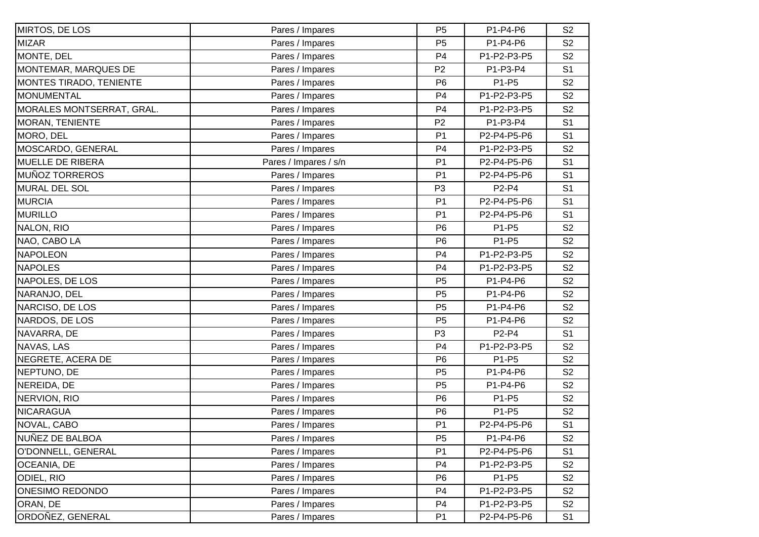| MIRTOS, DE LOS            | Pares / Impares       | P <sub>5</sub> | P1-P4-P6    | S <sub>2</sub> |
|---------------------------|-----------------------|----------------|-------------|----------------|
| <b>MIZAR</b>              | Pares / Impares       | P <sub>5</sub> | P1-P4-P6    | S <sub>2</sub> |
| MONTE, DEL                | Pares / Impares       | P <sub>4</sub> | P1-P2-P3-P5 | S <sub>2</sub> |
| MONTEMAR, MARQUES DE      | Pares / Impares       | P <sub>2</sub> | P1-P3-P4    | S <sub>1</sub> |
| MONTES TIRADO, TENIENTE   | Pares / Impares       | P <sub>6</sub> | P1-P5       | S <sub>2</sub> |
| <b>MONUMENTAL</b>         | Pares / Impares       | P <sub>4</sub> | P1-P2-P3-P5 | S <sub>2</sub> |
| MORALES MONTSERRAT, GRAL. | Pares / Impares       | P <sub>4</sub> | P1-P2-P3-P5 | S <sub>2</sub> |
| <b>MORAN, TENIENTE</b>    | Pares / Impares       | P <sub>2</sub> | P1-P3-P4    | S <sub>1</sub> |
| MORO, DEL                 | Pares / Impares       | P <sub>1</sub> | P2-P4-P5-P6 | S <sub>1</sub> |
| MOSCARDO, GENERAL         | Pares / Impares       | P <sub>4</sub> | P1-P2-P3-P5 | S <sub>2</sub> |
| <b>MUELLE DE RIBERA</b>   | Pares / Impares / s/n | P <sub>1</sub> | P2-P4-P5-P6 | S <sub>1</sub> |
| <b>MUÑOZ TORREROS</b>     | Pares / Impares       | P <sub>1</sub> | P2-P4-P5-P6 | S <sub>1</sub> |
| <b>MURAL DEL SOL</b>      | Pares / Impares       | P <sub>3</sub> | P2-P4       | S <sub>1</sub> |
| <b>MURCIA</b>             | Pares / Impares       | P <sub>1</sub> | P2-P4-P5-P6 | S <sub>1</sub> |
| <b>MURILLO</b>            | Pares / Impares       | P <sub>1</sub> | P2-P4-P5-P6 | S <sub>1</sub> |
| NALON, RIO                | Pares / Impares       | P <sub>6</sub> | P1-P5       | S <sub>2</sub> |
| NAO, CABO LA              | Pares / Impares       | P <sub>6</sub> | P1-P5       | S <sub>2</sub> |
| <b>NAPOLEON</b>           | Pares / Impares       | P <sub>4</sub> | P1-P2-P3-P5 | S <sub>2</sub> |
| <b>NAPOLES</b>            | Pares / Impares       | P <sub>4</sub> | P1-P2-P3-P5 | S <sub>2</sub> |
| NAPOLES, DE LOS           | Pares / Impares       | P <sub>5</sub> | P1-P4-P6    | S <sub>2</sub> |
| NARANJO, DEL              | Pares / Impares       | P <sub>5</sub> | P1-P4-P6    | S <sub>2</sub> |
| NARCISO, DE LOS           | Pares / Impares       | P <sub>5</sub> | P1-P4-P6    | S <sub>2</sub> |
| NARDOS, DE LOS            | Pares / Impares       | P <sub>5</sub> | P1-P4-P6    | S <sub>2</sub> |
| NAVARRA, DE               | Pares / Impares       | P <sub>3</sub> | P2-P4       | S <sub>1</sub> |
| NAVAS, LAS                | Pares / Impares       | P4             | P1-P2-P3-P5 | S <sub>2</sub> |
| NEGRETE, ACERA DE         | Pares / Impares       | P <sub>6</sub> | P1-P5       | S <sub>2</sub> |
| NEPTUNO, DE               | Pares / Impares       | P <sub>5</sub> | P1-P4-P6    | S <sub>2</sub> |
| NEREIDA, DE               | Pares / Impares       | P <sub>5</sub> | P1-P4-P6    | S <sub>2</sub> |
| NERVION, RIO              | Pares / Impares       | P <sub>6</sub> | P1-P5       | S <sub>2</sub> |
| <b>NICARAGUA</b>          | Pares / Impares       | P <sub>6</sub> | P1-P5       | S <sub>2</sub> |
| NOVAL, CABO               | Pares / Impares       | P1             | P2-P4-P5-P6 | S <sub>1</sub> |
| NUÑEZ DE BALBOA           | Pares / Impares       | P <sub>5</sub> | P1-P4-P6    | S <sub>2</sub> |
| O'DONNELL, GENERAL        | Pares / Impares       | P <sub>1</sub> | P2-P4-P5-P6 | S <sub>1</sub> |
| <b>OCEANIA, DE</b>        | Pares / Impares       | P <sub>4</sub> | P1-P2-P3-P5 | S <sub>2</sub> |
| ODIEL, RIO                | Pares / Impares       | P <sub>6</sub> | P1-P5       | S <sub>2</sub> |
| <b>ONESIMO REDONDO</b>    | Pares / Impares       | P <sub>4</sub> | P1-P2-P3-P5 | S <sub>2</sub> |
| ORAN, DE                  | Pares / Impares       | P4             | P1-P2-P3-P5 | S <sub>2</sub> |
| ORDOÑEZ, GENERAL          | Pares / Impares       | P <sub>1</sub> | P2-P4-P5-P6 | S <sub>1</sub> |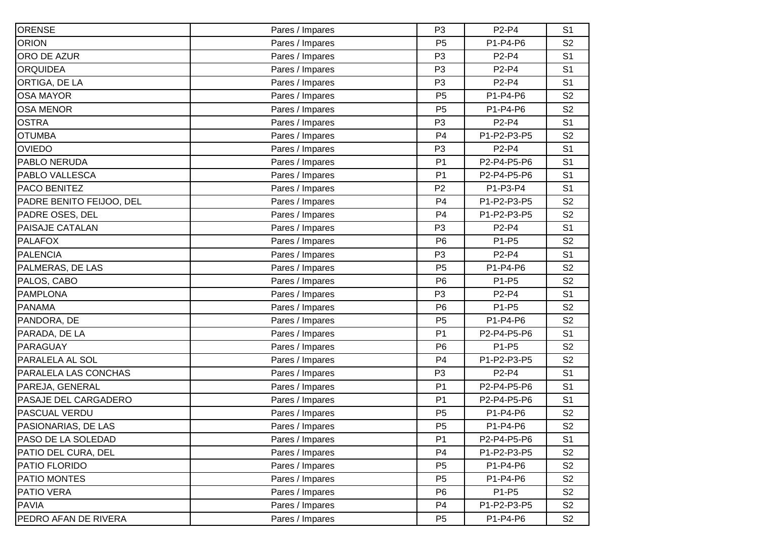| ORENSE                    | Pares / Impares | P <sub>3</sub> | P2-P4       | S <sub>1</sub> |
|---------------------------|-----------------|----------------|-------------|----------------|
| <b>ORION</b>              | Pares / Impares | P <sub>5</sub> | P1-P4-P6    | S <sub>2</sub> |
| ORO DE AZUR               | Pares / Impares | P <sub>3</sub> | P2-P4       | S <sub>1</sub> |
| <b>ORQUIDEA</b>           | Pares / Impares | P <sub>3</sub> | P2-P4       | S <sub>1</sub> |
| ORTIGA, DE LA             | Pares / Impares | P <sub>3</sub> | P2-P4       | S <sub>1</sub> |
| <b>OSA MAYOR</b>          | Pares / Impares | P <sub>5</sub> | P1-P4-P6    | S <sub>2</sub> |
| <b>OSA MENOR</b>          | Pares / Impares | P <sub>5</sub> | P1-P4-P6    | S <sub>2</sub> |
| <b>OSTRA</b>              | Pares / Impares | P <sub>3</sub> | P2-P4       | S <sub>1</sub> |
| <b>OTUMBA</b>             | Pares / Impares | P <sub>4</sub> | P1-P2-P3-P5 | S <sub>2</sub> |
| <b>OVIEDO</b>             | Pares / Impares | P <sub>3</sub> | P2-P4       | S <sub>1</sub> |
| PABLO NERUDA              | Pares / Impares | P <sub>1</sub> | P2-P4-P5-P6 | S <sub>1</sub> |
| PABLO VALLESCA            | Pares / Impares | P <sub>1</sub> | P2-P4-P5-P6 | S <sub>1</sub> |
| <b>PACO BENITEZ</b>       | Pares / Impares | P <sub>2</sub> | P1-P3-P4    | S <sub>1</sub> |
| PADRE BENITO FEIJOO, DEL  | Pares / Impares | P <sub>4</sub> | P1-P2-P3-P5 | S <sub>2</sub> |
| PADRE OSES, DEL           | Pares / Impares | P <sub>4</sub> | P1-P2-P3-P5 | S <sub>2</sub> |
| PAISAJE CATALAN           | Pares / Impares | P <sub>3</sub> | P2-P4       | S <sub>1</sub> |
| <b>PALAFOX</b>            | Pares / Impares | P <sub>6</sub> | P1-P5       | S <sub>2</sub> |
| <b>PALENCIA</b>           | Pares / Impares | P <sub>3</sub> | P2-P4       | S <sub>1</sub> |
| PALMERAS, DE LAS          | Pares / Impares | P <sub>5</sub> | P1-P4-P6    | S <sub>2</sub> |
| PALOS, CABO               | Pares / Impares | P <sub>6</sub> | P1-P5       | S <sub>2</sub> |
| <b>PAMPLONA</b>           | Pares / Impares | P <sub>3</sub> | P2-P4       | S <sub>1</sub> |
| <b>PANAMA</b>             | Pares / Impares | P <sub>6</sub> | P1-P5       | S <sub>2</sub> |
| PANDORA, DE               | Pares / Impares | P <sub>5</sub> | P1-P4-P6    | S <sub>2</sub> |
| PARADA, DE LA             | Pares / Impares | P <sub>1</sub> | P2-P4-P5-P6 | S <sub>1</sub> |
| <b>PARAGUAY</b>           | Pares / Impares | P <sub>6</sub> | P1-P5       | S <sub>2</sub> |
| PARALELA AL SOL           | Pares / Impares | P <sub>4</sub> | P1-P2-P3-P5 | S <sub>2</sub> |
| PARALELA LAS CONCHAS      | Pares / Impares | P <sub>3</sub> | P2-P4       | S <sub>1</sub> |
| PAREJA, GENERAL           | Pares / Impares | P <sub>1</sub> | P2-P4-P5-P6 | S <sub>1</sub> |
| PASAJE DEL CARGADERO      | Pares / Impares | P <sub>1</sub> | P2-P4-P5-P6 | S <sub>1</sub> |
| <b>PASCUAL VERDU</b>      | Pares / Impares | P <sub>5</sub> | P1-P4-P6    | S <sub>2</sub> |
| PASIONARIAS, DE LAS       | Pares / Impares | P <sub>5</sub> | P1-P4-P6    | S <sub>2</sub> |
| <b>PASO DE LA SOLEDAD</b> | Pares / Impares | P <sub>1</sub> | P2-P4-P5-P6 | S <sub>1</sub> |
| PATIO DEL CURA, DEL       | Pares / Impares | P <sub>4</sub> | P1-P2-P3-P5 | S <sub>2</sub> |
| <b>PATIO FLORIDO</b>      | Pares / Impares | P <sub>5</sub> | P1-P4-P6    | S <sub>2</sub> |
| <b>PATIO MONTES</b>       | Pares / Impares | P <sub>5</sub> | P1-P4-P6    | S <sub>2</sub> |
| PATIO VERA                | Pares / Impares | P <sub>6</sub> | P1-P5       | S <sub>2</sub> |
| <b>PAVIA</b>              | Pares / Impares | P <sub>4</sub> | P1-P2-P3-P5 | S <sub>2</sub> |
| PEDRO AFAN DE RIVERA      | Pares / Impares | P <sub>5</sub> | P1-P4-P6    | S <sub>2</sub> |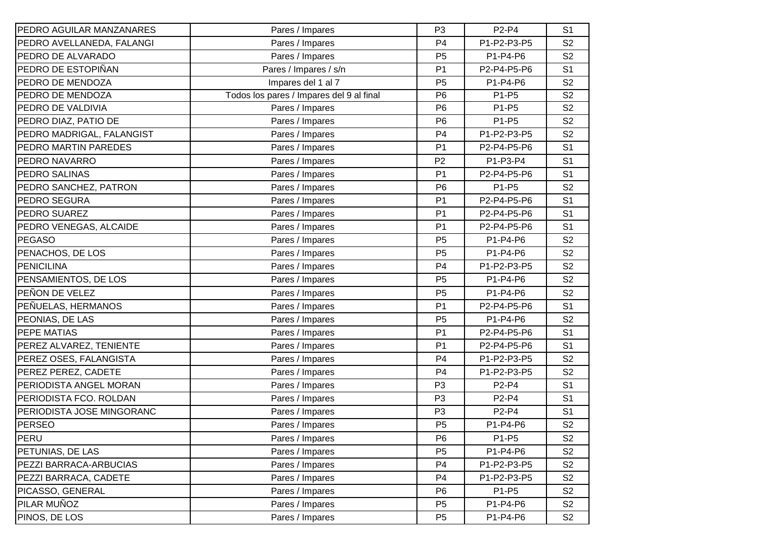| PEDRO AGUILAR MANZANARES  | Pares / Impares                          | P <sub>3</sub> | P2-P4       | S <sub>1</sub> |
|---------------------------|------------------------------------------|----------------|-------------|----------------|
| PEDRO AVELLANEDA, FALANGI | Pares / Impares                          | P <sub>4</sub> | P1-P2-P3-P5 | S <sub>2</sub> |
| PEDRO DE ALVARADO         | Pares / Impares                          | P <sub>5</sub> | P1-P4-P6    | S <sub>2</sub> |
| PEDRO DE ESTOPIÑAN        | Pares / Impares / s/n                    | P <sub>1</sub> | P2-P4-P5-P6 | S <sub>1</sub> |
| PEDRO DE MENDOZA          | Impares del 1 al 7                       | P <sub>5</sub> | P1-P4-P6    | S <sub>2</sub> |
| PEDRO DE MENDOZA          | Todos los pares / Impares del 9 al final | P <sub>6</sub> | P1-P5       | S <sub>2</sub> |
| PEDRO DE VALDIVIA         | Pares / Impares                          | P <sub>6</sub> | P1-P5       | S <sub>2</sub> |
| PEDRO DIAZ, PATIO DE      | Pares / Impares                          | P <sub>6</sub> | P1-P5       | S <sub>2</sub> |
| PEDRO MADRIGAL, FALANGIST | Pares / Impares                          | P <sub>4</sub> | P1-P2-P3-P5 | S <sub>2</sub> |
| PEDRO MARTIN PAREDES      | Pares / Impares                          | P <sub>1</sub> | P2-P4-P5-P6 | S <sub>1</sub> |
| PEDRO NAVARRO             | Pares / Impares                          | P <sub>2</sub> | P1-P3-P4    | S <sub>1</sub> |
| PEDRO SALINAS             | Pares / Impares                          | P <sub>1</sub> | P2-P4-P5-P6 | S <sub>1</sub> |
| PEDRO SANCHEZ, PATRON     | Pares / Impares                          | P <sub>6</sub> | P1-P5       | S <sub>2</sub> |
| PEDRO SEGURA              | Pares / Impares                          | P <sub>1</sub> | P2-P4-P5-P6 | S <sub>1</sub> |
| PEDRO SUAREZ              | Pares / Impares                          | P <sub>1</sub> | P2-P4-P5-P6 | S <sub>1</sub> |
| PEDRO VENEGAS, ALCAIDE    | Pares / Impares                          | P <sub>1</sub> | P2-P4-P5-P6 | S <sub>1</sub> |
| <b>PEGASO</b>             | Pares / Impares                          | P <sub>5</sub> | P1-P4-P6    | S <sub>2</sub> |
| PENACHOS, DE LOS          | Pares / Impares                          | P <sub>5</sub> | P1-P4-P6    | S <sub>2</sub> |
| <b>PENICILINA</b>         | Pares / Impares                          | P <sub>4</sub> | P1-P2-P3-P5 | S <sub>2</sub> |
| PENSAMIENTOS, DE LOS      | Pares / Impares                          | P <sub>5</sub> | P1-P4-P6    | S <sub>2</sub> |
| PEÑON DE VELEZ            | Pares / Impares                          | P <sub>5</sub> | P1-P4-P6    | S <sub>2</sub> |
| PEÑUELAS, HERMANOS        | Pares / Impares                          | P <sub>1</sub> | P2-P4-P5-P6 | S <sub>1</sub> |
| PEONIAS, DE LAS           | Pares / Impares                          | P <sub>5</sub> | P1-P4-P6    | S <sub>2</sub> |
| <b>PEPE MATIAS</b>        | Pares / Impares                          | P <sub>1</sub> | P2-P4-P5-P6 | S <sub>1</sub> |
| PEREZ ALVAREZ, TENIENTE   | Pares / Impares                          | P <sub>1</sub> | P2-P4-P5-P6 | S <sub>1</sub> |
| PEREZ OSES, FALANGISTA    | Pares / Impares                          | P <sub>4</sub> | P1-P2-P3-P5 | S <sub>2</sub> |
| PEREZ PEREZ, CADETE       | Pares / Impares                          | P <sub>4</sub> | P1-P2-P3-P5 | S <sub>2</sub> |
| PERIODISTA ANGEL MORAN    | Pares / Impares                          | P <sub>3</sub> | P2-P4       | S <sub>1</sub> |
| PERIODISTA FCO. ROLDAN    | Pares / Impares                          | P <sub>3</sub> | P2-P4       | S <sub>1</sub> |
| PERIODISTA JOSE MINGORANC | Pares / Impares                          | P <sub>3</sub> | P2-P4       | S <sub>1</sub> |
| PERSEO                    | Pares / Impares                          | P <sub>5</sub> | P1-P4-P6    | S <sub>2</sub> |
| PERU                      | Pares / Impares                          | P <sub>6</sub> | P1-P5       | S <sub>2</sub> |
| PETUNIAS, DE LAS          | Pares / Impares                          | P <sub>5</sub> | P1-P4-P6    | S <sub>2</sub> |
| PEZZI BARRACA-ARBUCIAS    | Pares / Impares                          | P <sub>4</sub> | P1-P2-P3-P5 | S <sub>2</sub> |
| PEZZI BARRACA, CADETE     | Pares / Impares                          | P <sub>4</sub> | P1-P2-P3-P5 | S <sub>2</sub> |
| PICASSO, GENERAL          | Pares / Impares                          | P <sub>6</sub> | P1-P5       | S <sub>2</sub> |
| PILAR MUÑOZ               | Pares / Impares                          | P <sub>5</sub> | P1-P4-P6    | S <sub>2</sub> |
| PINOS, DE LOS             | Pares / Impares                          | P <sub>5</sub> | P1-P4-P6    | S <sub>2</sub> |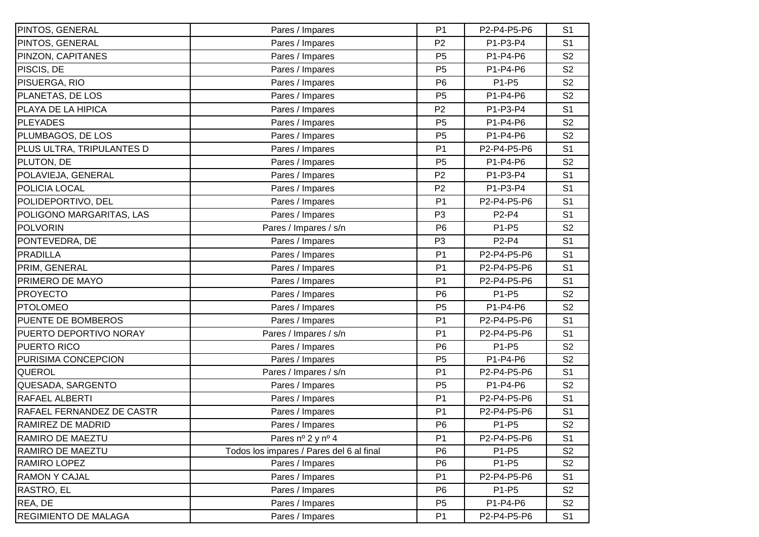| PINTOS, GENERAL             | Pares / Impares                          | P <sub>1</sub> | P2-P4-P5-P6 | S <sub>1</sub> |
|-----------------------------|------------------------------------------|----------------|-------------|----------------|
| PINTOS, GENERAL             | Pares / Impares                          | P <sub>2</sub> | P1-P3-P4    | S <sub>1</sub> |
| PINZON, CAPITANES           | Pares / Impares                          | P <sub>5</sub> | P1-P4-P6    | S <sub>2</sub> |
| PISCIS, DE                  | Pares / Impares                          | P <sub>5</sub> | P1-P4-P6    | S <sub>2</sub> |
| PISUERGA, RIO               | Pares / Impares                          | P <sub>6</sub> | P1-P5       | S <sub>2</sub> |
| PLANETAS, DE LOS            | Pares / Impares                          | P <sub>5</sub> | P1-P4-P6    | S <sub>2</sub> |
| PLAYA DE LA HIPICA          | Pares / Impares                          | P <sub>2</sub> | P1-P3-P4    | S <sub>1</sub> |
| <b>PLEYADES</b>             | Pares / Impares                          | P <sub>5</sub> | P1-P4-P6    | S <sub>2</sub> |
| PLUMBAGOS, DE LOS           | Pares / Impares                          | P <sub>5</sub> | P1-P4-P6    | S <sub>2</sub> |
| PLUS ULTRA, TRIPULANTES D   | Pares / Impares                          | P <sub>1</sub> | P2-P4-P5-P6 | S <sub>1</sub> |
| PLUTON, DE                  | Pares / Impares                          | P <sub>5</sub> | P1-P4-P6    | S <sub>2</sub> |
| POLAVIEJA, GENERAL          | Pares / Impares                          | P <sub>2</sub> | P1-P3-P4    | S <sub>1</sub> |
| POLICIA LOCAL               | Pares / Impares                          | P <sub>2</sub> | P1-P3-P4    | S <sub>1</sub> |
| POLIDEPORTIVO, DEL          | Pares / Impares                          | P <sub>1</sub> | P2-P4-P5-P6 | S <sub>1</sub> |
| POLIGONO MARGARITAS, LAS    | Pares / Impares                          | P <sub>3</sub> | P2-P4       | S <sub>1</sub> |
| <b>POLVORIN</b>             | Pares / Impares / s/n                    | P <sub>6</sub> | P1-P5       | S <sub>2</sub> |
| PONTEVEDRA, DE              | Pares / Impares                          | P <sub>3</sub> | P2-P4       | S <sub>1</sub> |
| <b>PRADILLA</b>             | Pares / Impares                          | P <sub>1</sub> | P2-P4-P5-P6 | S <sub>1</sub> |
| PRIM, GENERAL               | Pares / Impares                          | P <sub>1</sub> | P2-P4-P5-P6 | S <sub>1</sub> |
| PRIMERO DE MAYO             | Pares / Impares                          | P <sub>1</sub> | P2-P4-P5-P6 | S <sub>1</sub> |
| <b>PROYECTO</b>             | Pares / Impares                          | P <sub>6</sub> | P1-P5       | S <sub>2</sub> |
| <b>PTOLOMEO</b>             | Pares / Impares                          | P <sub>5</sub> | P1-P4-P6    | S <sub>2</sub> |
| PUENTE DE BOMBEROS          | Pares / Impares                          | P <sub>1</sub> | P2-P4-P5-P6 | S <sub>1</sub> |
| PUERTO DEPORTIVO NORAY      | Pares / Impares / s/n                    | P <sub>1</sub> | P2-P4-P5-P6 | S <sub>1</sub> |
| PUERTO RICO                 | Pares / Impares                          | P <sub>6</sub> | P1-P5       | S <sub>2</sub> |
| PURISIMA CONCEPCION         | Pares / Impares                          | P <sub>5</sub> | P1-P4-P6    | S <sub>2</sub> |
| QUEROL                      | Pares / Impares / s/n                    | P <sub>1</sub> | P2-P4-P5-P6 | S <sub>1</sub> |
| QUESADA, SARGENTO           | Pares / Impares                          | P <sub>5</sub> | P1-P4-P6    | S <sub>2</sub> |
| RAFAEL ALBERTI              | Pares / Impares                          | P <sub>1</sub> | P2-P4-P5-P6 | S <sub>1</sub> |
| RAFAEL FERNANDEZ DE CASTR   | Pares / Impares                          | P <sub>1</sub> | P2-P4-P5-P6 | S <sub>1</sub> |
| RAMIREZ DE MADRID           | Pares / Impares                          | P <sub>6</sub> | P1-P5       | S <sub>2</sub> |
| RAMIRO DE MAEZTU            | Pares nº 2 y nº 4                        | P <sub>1</sub> | P2-P4-P5-P6 | S <sub>1</sub> |
| RAMIRO DE MAEZTU            | Todos los impares / Pares del 6 al final | P <sub>6</sub> | P1-P5       | S <sub>2</sub> |
| RAMIRO LOPEZ                | Pares / Impares                          | P <sub>6</sub> | P1-P5       | S <sub>2</sub> |
| <b>RAMON Y CAJAL</b>        | Pares / Impares                          | P <sub>1</sub> | P2-P4-P5-P6 | S <sub>1</sub> |
| RASTRO, EL                  | Pares / Impares                          | P <sub>6</sub> | P1-P5       | S <sub>2</sub> |
| REA, DE                     | Pares / Impares                          | P <sub>5</sub> | P1-P4-P6    | S <sub>2</sub> |
| <b>REGIMIENTO DE MALAGA</b> | Pares / Impares                          | P <sub>1</sub> | P2-P4-P5-P6 | S <sub>1</sub> |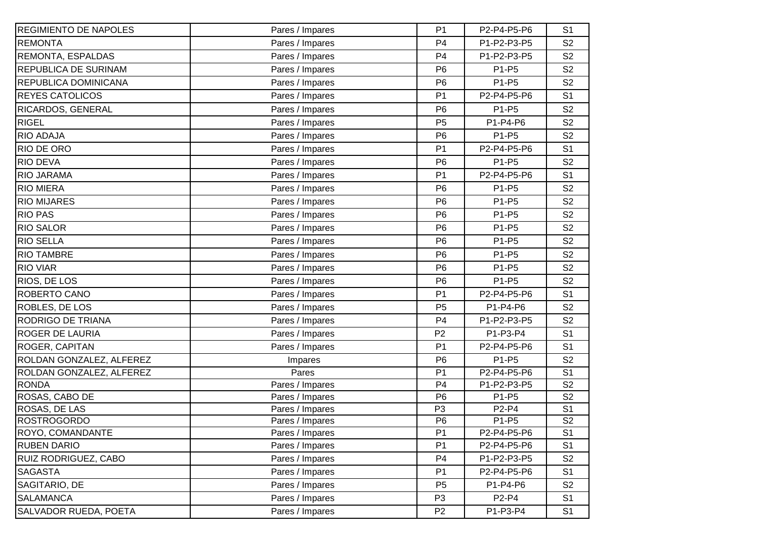| <b>REGIMIENTO DE NAPOLES</b> | Pares / Impares | P <sub>1</sub> | P2-P4-P5-P6 | S <sub>1</sub> |
|------------------------------|-----------------|----------------|-------------|----------------|
| <b>REMONTA</b>               | Pares / Impares | P <sub>4</sub> | P1-P2-P3-P5 | S <sub>2</sub> |
| REMONTA, ESPALDAS            | Pares / Impares | P <sub>4</sub> | P1-P2-P3-P5 | S <sub>2</sub> |
| <b>REPUBLICA DE SURINAM</b>  | Pares / Impares | P <sub>6</sub> | P1-P5       | S <sub>2</sub> |
| REPUBLICA DOMINICANA         | Pares / Impares | P <sub>6</sub> | P1-P5       | S <sub>2</sub> |
| <b>REYES CATOLICOS</b>       | Pares / Impares | P <sub>1</sub> | P2-P4-P5-P6 | S <sub>1</sub> |
| RICARDOS, GENERAL            | Pares / Impares | P <sub>6</sub> | P1-P5       | S <sub>2</sub> |
| <b>RIGEL</b>                 | Pares / Impares | P <sub>5</sub> | P1-P4-P6    | S <sub>2</sub> |
| RIO ADAJA                    | Pares / Impares | P <sub>6</sub> | P1-P5       | S <sub>2</sub> |
| RIO DE ORO                   | Pares / Impares | P <sub>1</sub> | P2-P4-P5-P6 | S <sub>1</sub> |
| <b>RIO DEVA</b>              | Pares / Impares | P <sub>6</sub> | P1-P5       | S <sub>2</sub> |
| RIO JARAMA                   | Pares / Impares | P <sub>1</sub> | P2-P4-P5-P6 | S <sub>1</sub> |
| <b>RIO MIERA</b>             | Pares / Impares | P <sub>6</sub> | P1-P5       | S <sub>2</sub> |
| <b>RIO MIJARES</b>           | Pares / Impares | P <sub>6</sub> | P1-P5       | S <sub>2</sub> |
| <b>RIO PAS</b>               | Pares / Impares | P <sub>6</sub> | P1-P5       | S <sub>2</sub> |
| <b>RIO SALOR</b>             | Pares / Impares | P <sub>6</sub> | P1-P5       | S <sub>2</sub> |
| <b>RIO SELLA</b>             | Pares / Impares | P <sub>6</sub> | P1-P5       | S <sub>2</sub> |
| <b>RIO TAMBRE</b>            | Pares / Impares | P <sub>6</sub> | P1-P5       | S <sub>2</sub> |
| <b>RIO VIAR</b>              | Pares / Impares | P <sub>6</sub> | P1-P5       | S <sub>2</sub> |
| RIOS, DE LOS                 | Pares / Impares | P <sub>6</sub> | P1-P5       | S <sub>2</sub> |
| ROBERTO CANO                 | Pares / Impares | P <sub>1</sub> | P2-P4-P5-P6 | S <sub>1</sub> |
| ROBLES, DE LOS               | Pares / Impares | P <sub>5</sub> | P1-P4-P6    | S <sub>2</sub> |
| RODRIGO DE TRIANA            | Pares / Impares | P <sub>4</sub> | P1-P2-P3-P5 | S <sub>2</sub> |
| <b>ROGER DE LAURIA</b>       | Pares / Impares | P <sub>2</sub> | P1-P3-P4    | S <sub>1</sub> |
| ROGER, CAPITAN               | Pares / Impares | P <sub>1</sub> | P2-P4-P5-P6 | S <sub>1</sub> |
| ROLDAN GONZALEZ, ALFEREZ     | Impares         | P <sub>6</sub> | P1-P5       | S <sub>2</sub> |
| ROLDAN GONZALEZ, ALFEREZ     | Pares           | P <sub>1</sub> | P2-P4-P5-P6 | S <sub>1</sub> |
| <b>RONDA</b>                 | Pares / Impares | P <sub>4</sub> | P1-P2-P3-P5 | S <sub>2</sub> |
| ROSAS, CABO DE               | Pares / Impares | P <sub>6</sub> | P1-P5       | S <sub>2</sub> |
| ROSAS, DE LAS                | Pares / Impares | P <sub>3</sub> | P2-P4       | S <sub>1</sub> |
| <b>ROSTROGORDO</b>           | Pares / Impares | P <sub>6</sub> | P1-P5       | S <sub>2</sub> |
| <b>ROYO, COMANDANTE</b>      | Pares / Impares | P <sub>1</sub> | P2-P4-P5-P6 | S <sub>1</sub> |
| <b>RUBEN DARIO</b>           | Pares / Impares | P <sub>1</sub> | P2-P4-P5-P6 | S <sub>1</sub> |
| RUIZ RODRIGUEZ, CABO         | Pares / Impares | P <sub>4</sub> | P1-P2-P3-P5 | S <sub>2</sub> |
| <b>SAGASTA</b>               | Pares / Impares | P <sub>1</sub> | P2-P4-P5-P6 | S <sub>1</sub> |
| SAGITARIO, DE                | Pares / Impares | P <sub>5</sub> | P1-P4-P6    | S <sub>2</sub> |
| <b>SALAMANCA</b>             | Pares / Impares | P <sub>3</sub> | P2-P4       | S <sub>1</sub> |
| SALVADOR RUEDA, POETA        | Pares / Impares | P <sub>2</sub> | P1-P3-P4    | S <sub>1</sub> |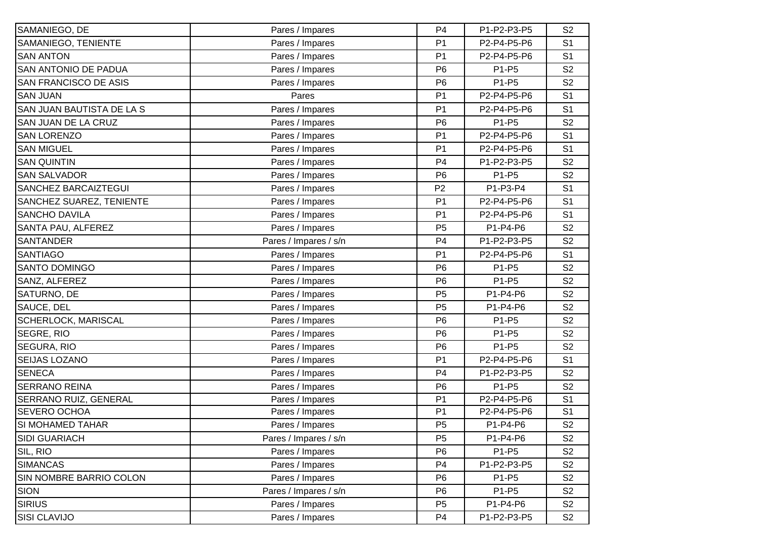| SAMANIEGO, DE             | Pares / Impares       | P <sub>4</sub> | P1-P2-P3-P5 | S <sub>2</sub> |
|---------------------------|-----------------------|----------------|-------------|----------------|
| SAMANIEGO, TENIENTE       | Pares / Impares       | P <sub>1</sub> | P2-P4-P5-P6 | S <sub>1</sub> |
| <b>SAN ANTON</b>          | Pares / Impares       | P <sub>1</sub> | P2-P4-P5-P6 | S <sub>1</sub> |
| SAN ANTONIO DE PADUA      | Pares / Impares       | P <sub>6</sub> | P1-P5       | S <sub>2</sub> |
| SAN FRANCISCO DE ASIS     | Pares / Impares       | P <sub>6</sub> | P1-P5       | S <sub>2</sub> |
| <b>SAN JUAN</b>           | Pares                 | P <sub>1</sub> | P2-P4-P5-P6 | S <sub>1</sub> |
| SAN JUAN BAUTISTA DE LA S | Pares / Impares       | P <sub>1</sub> | P2-P4-P5-P6 | S <sub>1</sub> |
| SAN JUAN DE LA CRUZ       | Pares / Impares       | P <sub>6</sub> | P1-P5       | S <sub>2</sub> |
| <b>SAN LORENZO</b>        | Pares / Impares       | P <sub>1</sub> | P2-P4-P5-P6 | S <sub>1</sub> |
| <b>SAN MIGUEL</b>         | Pares / Impares       | P <sub>1</sub> | P2-P4-P5-P6 | S <sub>1</sub> |
| <b>SAN QUINTIN</b>        | Pares / Impares       | P <sub>4</sub> | P1-P2-P3-P5 | S <sub>2</sub> |
| <b>SAN SALVADOR</b>       | Pares / Impares       | P <sub>6</sub> | P1-P5       | S <sub>2</sub> |
| SANCHEZ BARCAIZTEGUI      | Pares / Impares       | P <sub>2</sub> | P1-P3-P4    | S <sub>1</sub> |
| SANCHEZ SUAREZ, TENIENTE  | Pares / Impares       | P <sub>1</sub> | P2-P4-P5-P6 | S <sub>1</sub> |
| <b>SANCHO DAVILA</b>      | Pares / Impares       | P <sub>1</sub> | P2-P4-P5-P6 | S <sub>1</sub> |
| SANTA PAU, ALFEREZ        | Pares / Impares       | P <sub>5</sub> | P1-P4-P6    | S <sub>2</sub> |
| <b>SANTANDER</b>          | Pares / Impares / s/n | P <sub>4</sub> | P1-P2-P3-P5 | S <sub>2</sub> |
| <b>SANTIAGO</b>           | Pares / Impares       | P <sub>1</sub> | P2-P4-P5-P6 | S <sub>1</sub> |
| SANTO DOMINGO             | Pares / Impares       | P <sub>6</sub> | P1-P5       | S <sub>2</sub> |
| SANZ, ALFEREZ             | Pares / Impares       | P <sub>6</sub> | P1-P5       | S <sub>2</sub> |
| SATURNO, DE               | Pares / Impares       | P <sub>5</sub> | P1-P4-P6    | S <sub>2</sub> |
| SAUCE, DEL                | Pares / Impares       | P <sub>5</sub> | P1-P4-P6    | S <sub>2</sub> |
| SCHERLOCK, MARISCAL       | Pares / Impares       | P <sub>6</sub> | P1-P5       | S <sub>2</sub> |
| SEGRE, RIO                | Pares / Impares       | P <sub>6</sub> | P1-P5       | S <sub>2</sub> |
| SEGURA, RIO               | Pares / Impares       | P <sub>6</sub> | P1-P5       | S <sub>2</sub> |
| SEIJAS LOZANO             | Pares / Impares       | P <sub>1</sub> | P2-P4-P5-P6 | S <sub>1</sub> |
| <b>SENECA</b>             | Pares / Impares       | P <sub>4</sub> | P1-P2-P3-P5 | S <sub>2</sub> |
| <b>SERRANO REINA</b>      | Pares / Impares       | P <sub>6</sub> | P1-P5       | S <sub>2</sub> |
| SERRANO RUIZ, GENERAL     | Pares / Impares       | P <sub>1</sub> | P2-P4-P5-P6 | S <sub>1</sub> |
| SEVERO OCHOA              | Pares / Impares       | P <sub>1</sub> | P2-P4-P5-P6 | S <sub>1</sub> |
| SI MOHAMED TAHAR          | Pares / Impares       | P <sub>5</sub> | P1-P4-P6    | S <sub>2</sub> |
| <b>SIDI GUARIACH</b>      | Pares / Impares / s/n | P <sub>5</sub> | P1-P4-P6    | S <sub>2</sub> |
| SIL, RIO                  | Pares / Impares       | P <sub>6</sub> | P1-P5       | S <sub>2</sub> |
| <b>SIMANCAS</b>           | Pares / Impares       | P <sub>4</sub> | P1-P2-P3-P5 | S <sub>2</sub> |
| SIN NOMBRE BARRIO COLON   | Pares / Impares       | P <sub>6</sub> | P1-P5       | S <sub>2</sub> |
| <b>SION</b>               | Pares / Impares / s/n | P <sub>6</sub> | P1-P5       | S <sub>2</sub> |
| <b>SIRIUS</b>             | Pares / Impares       | P <sub>5</sub> | P1-P4-P6    | S <sub>2</sub> |
| SISI CLAVIJO              | Pares / Impares       | P <sub>4</sub> | P1-P2-P3-P5 | S <sub>2</sub> |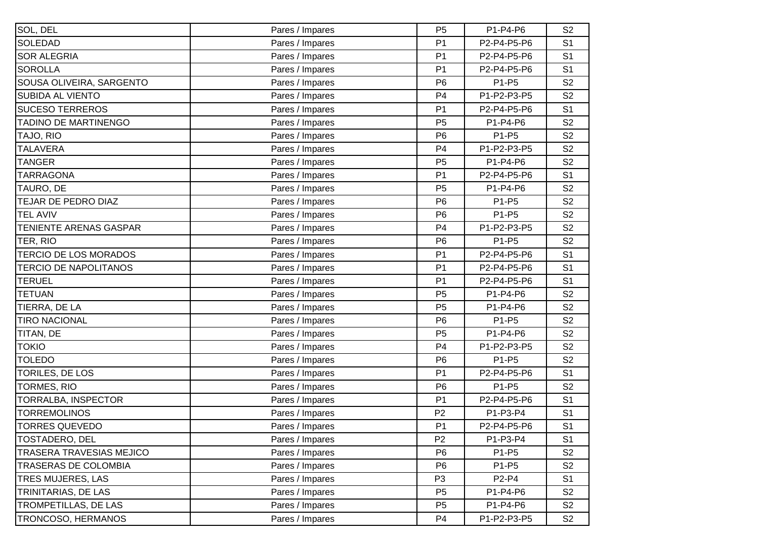| SOL, DEL                        | Pares / Impares | P <sub>5</sub> | P1-P4-P6    | S <sub>2</sub> |
|---------------------------------|-----------------|----------------|-------------|----------------|
| <b>SOLEDAD</b>                  | Pares / Impares | P <sub>1</sub> | P2-P4-P5-P6 | S <sub>1</sub> |
| <b>SOR ALEGRIA</b>              | Pares / Impares | P <sub>1</sub> | P2-P4-P5-P6 | S <sub>1</sub> |
| <b>SOROLLA</b>                  | Pares / Impares | P <sub>1</sub> | P2-P4-P5-P6 | S <sub>1</sub> |
| SOUSA OLIVEIRA, SARGENTO        | Pares / Impares | P <sub>6</sub> | P1-P5       | S <sub>2</sub> |
| <b>SUBIDA AL VIENTO</b>         | Pares / Impares | P <sub>4</sub> | P1-P2-P3-P5 | S <sub>2</sub> |
| <b>SUCESO TERREROS</b>          | Pares / Impares | P <sub>1</sub> | P2-P4-P5-P6 | S <sub>1</sub> |
| <b>TADINO DE MARTINENGO</b>     | Pares / Impares | P <sub>5</sub> | P1-P4-P6    | S <sub>2</sub> |
| TAJO, RIO                       | Pares / Impares | P <sub>6</sub> | P1-P5       | S <sub>2</sub> |
| <b>TALAVERA</b>                 | Pares / Impares | P <sub>4</sub> | P1-P2-P3-P5 | S <sub>2</sub> |
| <b>TANGER</b>                   | Pares / Impares | P <sub>5</sub> | P1-P4-P6    | S <sub>2</sub> |
| <b>TARRAGONA</b>                | Pares / Impares | P <sub>1</sub> | P2-P4-P5-P6 | S <sub>1</sub> |
| TAURO, DE                       | Pares / Impares | P <sub>5</sub> | P1-P4-P6    | S <sub>2</sub> |
| TEJAR DE PEDRO DIAZ             | Pares / Impares | P <sub>6</sub> | P1-P5       | S <sub>2</sub> |
| <b>TEL AVIV</b>                 | Pares / Impares | P <sub>6</sub> | P1-P5       | S <sub>2</sub> |
| TENIENTE ARENAS GASPAR          | Pares / Impares | P <sub>4</sub> | P1-P2-P3-P5 | S <sub>2</sub> |
| TER, RIO                        | Pares / Impares | P <sub>6</sub> | P1-P5       | S <sub>2</sub> |
| <b>TERCIO DE LOS MORADOS</b>    | Pares / Impares | P <sub>1</sub> | P2-P4-P5-P6 | S <sub>1</sub> |
| <b>TERCIO DE NAPOLITANOS</b>    | Pares / Impares | P <sub>1</sub> | P2-P4-P5-P6 | S <sub>1</sub> |
| <b>TERUEL</b>                   | Pares / Impares | P <sub>1</sub> | P2-P4-P5-P6 | S <sub>1</sub> |
| <b>TETUAN</b>                   | Pares / Impares | P <sub>5</sub> | P1-P4-P6    | S <sub>2</sub> |
| TIERRA, DE LA                   | Pares / Impares | P <sub>5</sub> | P1-P4-P6    | S <sub>2</sub> |
| <b>TIRO NACIONAL</b>            | Pares / Impares | P <sub>6</sub> | P1-P5       | S <sub>2</sub> |
| TITAN, DE                       | Pares / Impares | P <sub>5</sub> | P1-P4-P6    | S <sub>2</sub> |
| <b>TOKIO</b>                    | Pares / Impares | P <sub>4</sub> | P1-P2-P3-P5 | S <sub>2</sub> |
| <b>TOLEDO</b>                   | Pares / Impares | P <sub>6</sub> | P1-P5       | S <sub>2</sub> |
| TORILES, DE LOS                 | Pares / Impares | P <sub>1</sub> | P2-P4-P5-P6 | S <sub>1</sub> |
| <b>TORMES, RIO</b>              | Pares / Impares | P <sub>6</sub> | P1-P5       | S <sub>2</sub> |
| TORRALBA, INSPECTOR             | Pares / Impares | P <sub>1</sub> | P2-P4-P5-P6 | S <sub>1</sub> |
| <b>TORREMOLINOS</b>             | Pares / Impares | P <sub>2</sub> | P1-P3-P4    | S <sub>1</sub> |
| TORRES QUEVEDO                  | Pares / Impares | P <sub>1</sub> | P2-P4-P5-P6 | S <sub>1</sub> |
| TOSTADERO, DEL                  | Pares / Impares | P <sub>2</sub> | P1-P3-P4    | S <sub>1</sub> |
| <b>TRASERA TRAVESIAS MEJICO</b> | Pares / Impares | P <sub>6</sub> | P1-P5       | S <sub>2</sub> |
| <b>TRASERAS DE COLOMBIA</b>     | Pares / Impares | P <sub>6</sub> | P1-P5       | S <sub>2</sub> |
| <b>TRES MUJERES, LAS</b>        | Pares / Impares | P <sub>3</sub> | P2-P4       | S <sub>1</sub> |
| TRINITARIAS, DE LAS             | Pares / Impares | P <sub>5</sub> | P1-P4-P6    | S <sub>2</sub> |
| TROMPETILLAS, DE LAS            | Pares / Impares | P <sub>5</sub> | P1-P4-P6    | S <sub>2</sub> |
| TRONCOSO, HERMANOS              | Pares / Impares | P <sub>4</sub> | P1-P2-P3-P5 | S <sub>2</sub> |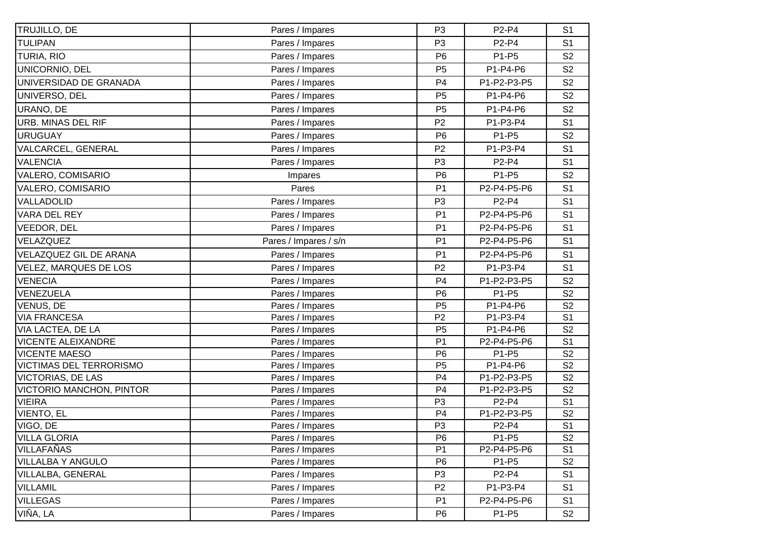| TRUJILLO, DE                    | Pares / Impares       | P <sub>3</sub> | P2-P4       | S <sub>1</sub> |
|---------------------------------|-----------------------|----------------|-------------|----------------|
| <b>TULIPAN</b>                  | Pares / Impares       | P <sub>3</sub> | P2-P4       | S <sub>1</sub> |
| TURIA, RIO                      | Pares / Impares       | P <sub>6</sub> | P1-P5       | S <sub>2</sub> |
| UNICORNIO, DEL                  | Pares / Impares       | P <sub>5</sub> | P1-P4-P6    | S <sub>2</sub> |
| UNIVERSIDAD DE GRANADA          | Pares / Impares       | P <sub>4</sub> | P1-P2-P3-P5 | S <sub>2</sub> |
| UNIVERSO, DEL                   | Pares / Impares       | P <sub>5</sub> | P1-P4-P6    | S <sub>2</sub> |
| URANO, DE                       | Pares / Impares       | P <sub>5</sub> | P1-P4-P6    | S <sub>2</sub> |
| <b>URB. MINAS DEL RIF</b>       | Pares / Impares       | P <sub>2</sub> | P1-P3-P4    | S <sub>1</sub> |
| <b>URUGUAY</b>                  | Pares / Impares       | P <sub>6</sub> | P1-P5       | S <sub>2</sub> |
| VALCARCEL, GENERAL              | Pares / Impares       | P <sub>2</sub> | P1-P3-P4    | S <sub>1</sub> |
| <b>VALENCIA</b>                 | Pares / Impares       | P <sub>3</sub> | P2-P4       | S <sub>1</sub> |
| VALERO, COMISARIO               | Impares               | P <sub>6</sub> | P1-P5       | S <sub>2</sub> |
| VALERO, COMISARIO               | Pares                 | P <sub>1</sub> | P2-P4-P5-P6 | S <sub>1</sub> |
| VALLADOLID                      | Pares / Impares       | P <sub>3</sub> | P2-P4       | S <sub>1</sub> |
| VARA DEL REY                    | Pares / Impares       | P <sub>1</sub> | P2-P4-P5-P6 | S <sub>1</sub> |
| VEEDOR, DEL                     | Pares / Impares       | P <sub>1</sub> | P2-P4-P5-P6 | S <sub>1</sub> |
| VELAZQUEZ                       | Pares / Impares / s/n | P <sub>1</sub> | P2-P4-P5-P6 | S <sub>1</sub> |
|                                 |                       |                |             |                |
| VELAZQUEZ GIL DE ARANA          | Pares / Impares       | P <sub>1</sub> | P2-P4-P5-P6 | S <sub>1</sub> |
| <b>VELEZ, MARQUES DE LOS</b>    | Pares / Impares       | P <sub>2</sub> | P1-P3-P4    | S <sub>1</sub> |
| <b>VENECIA</b>                  | Pares / Impares       | P <sub>4</sub> | P1-P2-P3-P5 | S <sub>2</sub> |
| VENEZUELA                       | Pares / Impares       | P <sub>6</sub> | P1-P5       | S <sub>2</sub> |
| VENUS, DE                       | Pares / Impares       | P <sub>5</sub> | P1-P4-P6    | S <sub>2</sub> |
| <b>VIA FRANCESA</b>             | Pares / Impares       | P <sub>2</sub> | P1-P3-P4    | S <sub>1</sub> |
| <b>VIA LACTEA, DE LA</b>        | Pares / Impares       | P <sub>5</sub> | P1-P4-P6    | S <sub>2</sub> |
| <b>VICENTE ALEIXANDRE</b>       | Pares / Impares       | P <sub>1</sub> | P2-P4-P5-P6 | S <sub>1</sub> |
| <b>VICENTE MAESO</b>            | Pares / Impares       | P <sub>6</sub> | P1-P5       | S <sub>2</sub> |
| <b>VICTIMAS DEL TERRORISMO</b>  | Pares / Impares       | P <sub>5</sub> | P1-P4-P6    | S <sub>2</sub> |
| <b>VICTORIAS, DE LAS</b>        | Pares / Impares       | P <sub>4</sub> | P1-P2-P3-P5 | S <sub>2</sub> |
| <b>VICTORIO MANCHON, PINTOR</b> | Pares / Impares       | P <sub>4</sub> | P1-P2-P3-P5 | S <sub>2</sub> |
| <b>VIEIRA</b>                   | Pares / Impares       | P <sub>3</sub> | P2-P4       | S <sub>1</sub> |
| <b>VIENTO, EL</b>               | Pares / Impares       | P <sub>4</sub> | P1-P2-P3-P5 | S <sub>2</sub> |
| VIGO, DE                        | Pares / Impares       | P <sub>3</sub> | P2-P4       | S <sub>1</sub> |
| <b>VILLA GLORIA</b>             | Pares / Impares       | P <sub>6</sub> | P1-P5       | S <sub>2</sub> |
| VILLAFAÑAS                      | Pares / Impares       | P <sub>1</sub> | P2-P4-P5-P6 | S <sub>1</sub> |
| <b>VILLALBA Y ANGULO</b>        | Pares / Impares       | P <sub>6</sub> | P1-P5       | S <sub>2</sub> |
| <b>VILLALBA, GENERAL</b>        | Pares / Impares       | P <sub>3</sub> | P2-P4       | S <sub>1</sub> |
| <b>VILLAMIL</b>                 | Pares / Impares       | P <sub>2</sub> | P1-P3-P4    | S <sub>1</sub> |
| <b>VILLEGAS</b>                 | Pares / Impares       | P <sub>1</sub> | P2-P4-P5-P6 | S <sub>1</sub> |
| VIÑA, LA                        | Pares / Impares       | P <sub>6</sub> | P1-P5       | S <sub>2</sub> |
|                                 |                       |                |             |                |